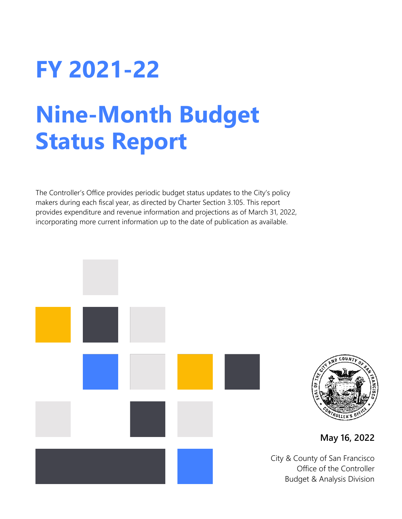# **FY 2021-22**

# **Nine-Month Budget Status Report**

The Controller's Office provides periodic budget status updates to the City's policy makers during each fiscal year, as directed by Charter Section 3.105. This report provides expenditure and revenue information and projections as of March 31, 2022, incorporating more current information up to the date of publication as available.





**May 16, 2022**

City & County of San Francisco Office of the Controller Budget & Analysis Division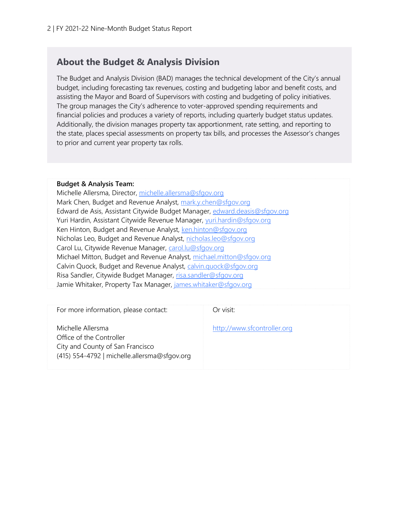#### **About the Budget & Analysis Division**

The Budget and Analysis Division (BAD) manages the technical development of the City's annual budget, including forecasting tax revenues, costing and budgeting labor and benefit costs, and assisting the Mayor and Board of Supervisors with costing and budgeting of policy initiatives. The group manages the City's adherence to voter-approved spending requirements and financial policies and produces a variety of reports, including quarterly budget status updates. Additionally, the division manages property tax apportionment, rate setting, and reporting to the state, places special assessments on property tax bills, and processes the Assessor's changes to prior and current year property tax rolls.

#### **Budget & Analysis Team:**

Michelle Allersma, Director, [michelle.allersma@sfgov.org](mailto:michelle.allersma@sfgov.org) Mark Chen, Budget and Revenue Analyst, [mark.y.chen@sfgov.org](mailto:mark.y.chen@sfgov.org) Edward de Asis, Assistant Citywide Budget Manager, [edward.deasis@sfgov.org](mailto:edward.deasis@sfgov.org) Yuri Hardin, Assistant Citywide Revenue Manager, [yuri.hardin@sfgov.org](mailto:yuri.hardin@sfgov.org) Ken Hinton, Budget and Revenue Analyst, [ken.hinton@sfgov.org](mailto:ken.hinton@sfgov.org) Nicholas Leo, Budget and Revenue Analyst, [nicholas.leo@sfgov.org](mailto:nicholas.leo@sfgov.org) Carol Lu, Citywide Revenue Manager, [carol.lu@sfgov.org](mailto:carol.lu@sfgov.org) Michael Mitton, Budget and Revenue Analyst, [michael.mitton@sfgov.org](mailto:michael.mitton@sfgov.org) Calvin Quock, Budget and Revenue Analyst, [calvin.quock@sfgov.org](mailto:calvin.quock@sfgov.org) Risa Sandler, Citywide Budget Manager, [risa.sandler@sfgov.org](mailto:risa.sandler@sfgov.org) Jamie Whitaker, Property Tax Manager, [james.whitaker@sfgov.org](mailto:james.whitaker@sfgov.org)

| For more information, please contact:                                                                                             | Or visit:                   |
|-----------------------------------------------------------------------------------------------------------------------------------|-----------------------------|
| Michelle Allersma<br>Office of the Controller<br>City and County of San Francisco<br>(415) 554-4792   michelle.allersma@sfgov.org | http://www.sfcontroller.org |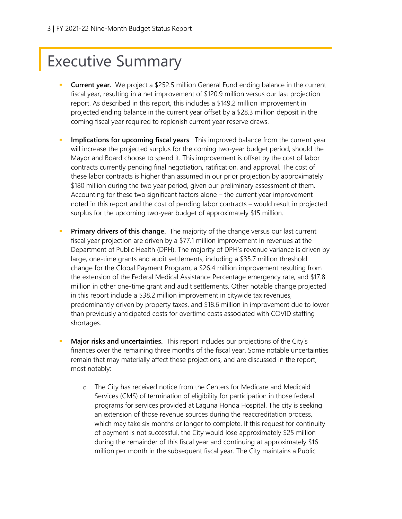# Executive Summary

- **Current year.** We project a \$252.5 million General Fund ending balance in the current fiscal year, resulting in a net improvement of \$120.9 million versus our last projection report. As described in this report, this includes a \$149.2 million improvement in projected ending balance in the current year offset by a \$28.3 million deposit in the coming fiscal year required to replenish current year reserve draws.
- **Implications for upcoming fiscal years**. This improved balance from the current year will increase the projected surplus for the coming two-year budget period, should the Mayor and Board choose to spend it. This improvement is offset by the cost of labor contracts currently pending final negotiation, ratification, and approval. The cost of these labor contracts is higher than assumed in our prior projection by approximately \$180 million during the two year period, given our preliminary assessment of them. Accounting for these two significant factors alone – the current year improvement noted in this report and the cost of pending labor contracts – would result in projected surplus for the upcoming two-year budget of approximately \$15 million.
- **Primary drivers of this change.** The majority of the change versus our last current fiscal year projection are driven by a \$77.1 million improvement in revenues at the Department of Public Health (DPH). The majority of DPH's revenue variance is driven by large, one-time grants and audit settlements, including a \$35.7 million threshold change for the Global Payment Program, a \$26.4 million improvement resulting from the extension of the Federal Medical Assistance Percentage emergency rate, and \$17.8 million in other one-time grant and audit settlements. Other notable change projected in this report include a \$38.2 million improvement in citywide tax revenues, predominantly driven by property taxes, and \$18.6 million in improvement due to lower than previously anticipated costs for overtime costs associated with COVID staffing shortages.
- Major risks and uncertainties. This report includes our projections of the City's finances over the remaining three months of the fiscal year. Some notable uncertainties remain that may materially affect these projections, and are discussed in the report, most notably:
	- o The City has received notice from the Centers for Medicare and Medicaid Services (CMS) of termination of eligibility for participation in those federal programs for services provided at Laguna Honda Hospital. The city is seeking an extension of those revenue sources during the reaccreditation process, which may take six months or longer to complete. If this request for continuity of payment is not successful, the City would lose approximately \$25 million during the remainder of this fiscal year and continuing at approximately \$16 million per month in the subsequent fiscal year. The City maintains a Public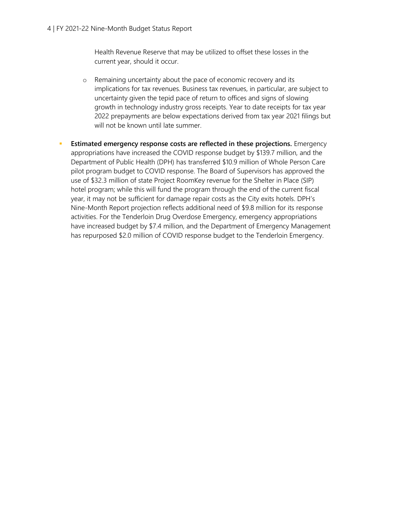Health Revenue Reserve that may be utilized to offset these losses in the current year, should it occur.

- o Remaining uncertainty about the pace of economic recovery and its implications for tax revenues. Business tax revenues, in particular, are subject to uncertainty given the tepid pace of return to offices and signs of slowing growth in technology industry gross receipts. Year to date receipts for tax year 2022 prepayments are below expectations derived from tax year 2021 filings but will not be known until late summer.
- **Estimated emergency response costs are reflected in these projections.** Emergency appropriations have increased the COVID response budget by \$139.7 million, and the Department of Public Health (DPH) has transferred \$10.9 million of Whole Person Care pilot program budget to COVID response. The Board of Supervisors has approved the use of \$32.3 million of state Project RoomKey revenue for the Shelter in Place (SIP) hotel program; while this will fund the program through the end of the current fiscal year, it may not be sufficient for damage repair costs as the City exits hotels. DPH's Nine-Month Report projection reflects additional need of \$9.8 million for its response activities. For the Tenderloin Drug Overdose Emergency, emergency appropriations have increased budget by \$7.4 million, and the Department of Emergency Management has repurposed \$2.0 million of COVID response budget to the Tenderloin Emergency.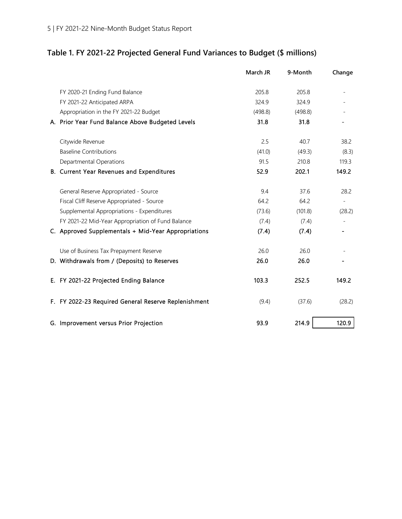### **Table 1. FY 2021-22 Projected General Fund Variances to Budget (\$ millions)**

|                                                      | March JR | 9-Month | Change |
|------------------------------------------------------|----------|---------|--------|
| FY 2020-21 Ending Fund Balance                       | 205.8    | 205.8   |        |
| FY 2021-22 Anticipated ARPA                          | 324.9    | 324.9   |        |
| Appropriation in the FY 2021-22 Budget               | (498.8)  | (498.8) |        |
| A. Prior Year Fund Balance Above Budgeted Levels     | 31.8     | 31.8    |        |
| Citywide Revenue                                     | 2.5      | 40.7    | 38.2   |
| <b>Baseline Contributions</b>                        | (41.0)   | (49.3)  | (8.3)  |
| Departmental Operations                              | 91.5     | 210.8   | 119.3  |
| B. Current Year Revenues and Expenditures            | 52.9     | 202.1   | 149.2  |
| General Reserve Appropriated - Source                | 9.4      | 37.6    | 28.2   |
| Fiscal Cliff Reserve Appropriated - Source           | 64.2     | 64.2    |        |
| Supplemental Appropriations - Expenditures           | (73.6)   | (101.8) | (28.2) |
| FY 2021-22 Mid-Year Appropriation of Fund Balance    | (7.4)    | (7.4)   |        |
| C. Approved Supplementals + Mid-Year Appropriations  | (7.4)    | (7.4)   |        |
| Use of Business Tax Prepayment Reserve               | 26.0     | 26.0    |        |
| D. Withdrawals from / (Deposits) to Reserves         | 26.0     | 26.0    |        |
| E. FY 2021-22 Projected Ending Balance               | 103.3    | 252.5   | 149.2  |
| F. FY 2022-23 Required General Reserve Replenishment | (9.4)    | (37.6)  | (28.2) |
| G. Improvement versus Prior Projection               | 93.9     | 214.9   | 120.9  |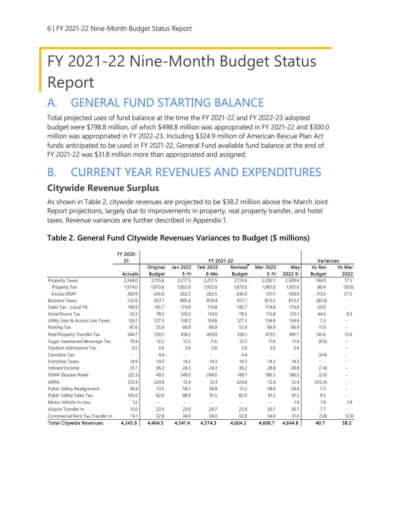# FY 2021-22 Nine-Month Budget Status Report

## A. GENERAL FUND STARTING BALANCE

Total projected uses of fund balance at the time the FY 2021-22 and FY 2022-23 adopted budget were \$798.8 million, of which \$498.8 million was appropriated in FY 2021-22 and \$300.0 million was appropriated in FY 2022-23. Including \$324.9 million of American Rescue Plan Act funds anticipated to be used in FY 2021-22, General Fund available fund balance at the end of FY 2021-22 was \$31.8 million more than appropriated and assigned.

### B. CURRENT YEAR REVENUES AND EXPENDITURES

#### **Citywide Revenue Surplus**

As shown in Table 2, citywide revenues are projected to be \$38.2 million above the March Joint Report projections, largely due to improvements in property, real property transfer, and hotel taxes. Revenue variances are further described in Appendix 1.

|                                  | FY 2020-       |               |                          |          |                |          |           |               |                          |
|----------------------------------|----------------|---------------|--------------------------|----------|----------------|----------|-----------|---------------|--------------------------|
|                                  | 21             | FY 2021-22    |                          |          |                |          | Variances |               |                          |
|                                  |                | Original      | Jan 2022                 | Feb 2022 | <b>Revised</b> | Mar 2022 | May       | Vs Rev        | Vs Mar                   |
|                                  | <b>Actuals</b> | <b>Budget</b> | $5-Yr$                   | 6-Mo     | <b>Budget</b>  | $5-Yr$   | 2022 9-   | <b>Budget</b> | 2022                     |
| Property Taxes                   | 2,344.0        | 2,115.6       | 2,217.5                  | 2,217.5  | 2,115.6        | 2,292.1  | 2,309.6   | 194.0         | 17.5                     |
| Property Tax                     | 1,974.0        | 1,870.6       | 1,955.0                  | 1,955.0  | 1,870.6        | 1,961.0  | 1,951.0   | 80.4          | (10.0)                   |
| <b>Excess ERAF</b>               | 369.9          | 245.0         | 262.5                    | 262.5    | 245.0          | 331.1    | 358.6     | 113.6         | 27.5                     |
| <b>Business Taxes</b>            | 722.6          | 957.1         | 885.4                    | 878.4    | 957.1          | 873.2    | 873.2     | (83.9)        |                          |
| Sales Tax - Local 1%             | 146.9          | 145.7         | 174.9                    | 174.8    | 145.7          | 174.8    | 174.8     | 29.0          |                          |
| Hotel Room Tax                   | 33.2           | 78.5          | 120.2                    | 114.0    | 78.5           | 113.8    | 123.1     | 44.6          | 9.3                      |
| Utility User & Access Line Taxes | 126.1          | 127.3         | 138.2                    | 134.6    | 127.3          | 134.6    | 134.6     | 7.3           |                          |
| Parking Tax                      | 47.6           | 55.9          | 66.9                     | 66.9     | 55.9           | 66.9     | 66.9      | 11.0          | $\overline{\phantom{a}}$ |
| Real Property Transfer Tax       | 344.7          | 350.1         | 418.2                    | 459.0    | 350.1          | 479.1    | 491.7     | 141.6         | 12.6                     |
| Sugar Sweetened Beverage Tax     | 10.4           | 12.2          | 12.2                     | 11.6     | 12.2           | 11.6     | 11.6      | (0.6)         |                          |
| Stadium Admissions Tax           | 0.2            | 3.6           | 3.6                      | 3.6      | 3.6            | 3.6      | 3.6       | ÷.            |                          |
| Cannabis Tax                     |                | 4.4           | ٠                        |          | 4.4            |          |           | (4.4)         |                          |
| Franchise Taxes                  | 14.9           | 14.3          | 14.3                     | 14.3     | 14.3           | 14.3     | 14.3      |               |                          |
| Interest Income                  | 31.7           | 36.2          | 24.3                     | 24.3     | 36.2           | 28.8     | 28.8      | (7.4)         |                          |
| <b>FEMA Disaster Relief</b>      | (22.3)         | 49.5          | 249.0                    | 249.0    | 189.1          | 186.5    | 186.5     | (2.6)         |                          |
| ARPA                             | 312.4          | 324.8         | 12.4                     | 12.4     | 324.8          | 12.4     | 12.4      | (312.4)       |                          |
| Public Safety Realignment        | 38.4           | 51.5          | 58.5                     | 58.8     | 51.5           | 58.8     | 58.8      | 7.3           | $\overline{\phantom{a}}$ |
| Public Safety Sales Tax          | 105.0          | 82.0          | 88.9                     | 91.5     | 82.0           | 91.5     | 91.5      | 9.5           |                          |
| Motor Vehicle In-Lieu            | 1.2            |               | $\overline{\phantom{a}}$ |          |                |          | 1.9       | 1.9           | 1.9                      |
| Airport Transfer In              | 15.0           | 23.0          | 23.0                     | 29.7     | 23.0           | 30.7     | 30.7      | 7.7           |                          |
| Commercial Rent Tax Transfer In  | 74.1           | 32.8          | 34.0                     | 34.0     | 32.8           | 34.0     | 31.0      | (1.8)         | (3.0)                    |
| <b>Total Citywide Revenues</b>   | 4,345.9        | 4,464.5       | 4,541.4                  | 4,574.3  | 4,604.2        | 4,606.7  | 4,644.8   | 40.7          | 38.2                     |

#### **Table 2. General Fund Citywide Revenues Variances to Budget (\$ millions)**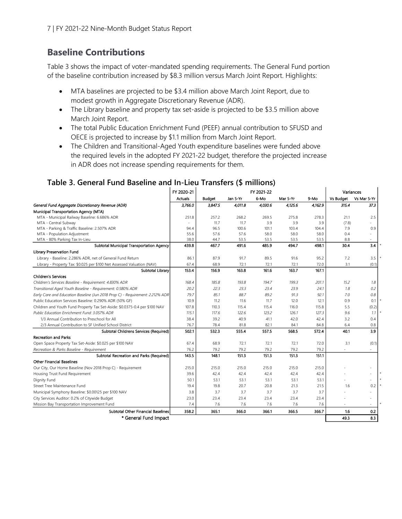#### **Baseline Contributions**

Table 3 shows the impact of voter-mandated spending requirements. The General Fund portion of the baseline contribution increased by \$8.3 million versus March Joint Report. Highlights:

- MTA baselines are projected to be \$3.4 million above March Joint Report, due to modest growth in Aggregate Discretionary Revenue (ADR).
- The Library baseline and property tax set-aside is projected to be \$3.5 million above March Joint Report.
- The total Public Education Enrichment Fund (PEEF) annual contribution to SFUSD and OECE is projected to increase by \$1.1 million from March Joint Report.
- The Children and Transitional-Aged Youth expenditure baselines were funded above the required levels in the adopted FY 2021-22 budget, therefore the projected increase in ADR does not increase spending requirements for them.

|                                                                               | FY 2020-21     | FY 2021-22    |          |         |          | Variances |                  |             |
|-------------------------------------------------------------------------------|----------------|---------------|----------|---------|----------|-----------|------------------|-------------|
|                                                                               | <b>Actuals</b> | <b>Budget</b> | Jan 5-Yr | 6-Mo    | Mar 5-Yr | 9-Mo      | <b>Vs Budget</b> | Vs Mar 5-Yr |
| General Fund Aggregate Discretionary Revenue (ADR)                            | 3,766.0        | 3,847.5       | 4,011.8  | 4,030.6 | 4.125.6  | 4.162.9   | 315.4            | 37.3        |
| Municipal Transportation Agency (MTA)                                         |                |               |          |         |          |           |                  |             |
| MTA - Municipal Railway Baseline: 6.686% ADR                                  | 251.8          | 257.2         | 268.2    | 269.5   | 275.8    | 278.3     | 21.1             | 2.5         |
| MTA - Central Subway                                                          |                | 11.7          | 11.7     | 3.9     | 3.9      | 3.9       | (7.8)            |             |
| MTA - Parking & Traffic Baseline: 2.507% ADR                                  | 94.4           | 96.5          | 100.6    | 101.1   | 103.4    | 104.4     | 7.9              | 0.9         |
| MTA - Population Adjustment                                                   | 55.6           | 57.6          | 57.6     | 58.0    | 58.0     | 58.0      | 0.4              |             |
| MTA - 80% Parking Tax In-Lieu                                                 | 38.0           | 44.7          | 53.5     | 53.5    | 53.5     | 53.5      | 8.8              | ÷           |
| Subtotal Municipal Transportation Agency                                      | 439.8          | 467.7         | 491.6    | 485.9   | 494.7    | 498.1     | 30.4             | 3.4         |
| Library Preservation Fund                                                     |                |               |          |         |          |           |                  |             |
| Library - Baseline: 2.286% ADR, net of General Fund Return                    | 86.1           | 87.9          | 91.7     | 89.5    | 91.6     | 95.2      | 7.2              | 3.5         |
| Library - Property Tax: \$0.025 per \$100 Net Assessed Valuation (NAV)        | 67.4           | 68.9          | 72.1     | 72.1    | 72.1     | 72.0      | 3.1              | (0.1)       |
| Subtotal Library                                                              | 153.4          | 156.9         | 163.8    | 161.6   | 163.7    | 167.1     |                  |             |
| <b>Children's Services</b>                                                    |                |               |          |         |          |           |                  |             |
| Children's Services Baseline - Requirement: 4.830% ADR                        | 168.4          | 185.8         | 193.8    | 194.7   | 199.3    | 201.1     | 15.2             | 7.8         |
| Transitional Aged Youth Baseline - Requirement: 0.580% ADR                    | 20.2           | 22.3          | 23.3     | 23.4    | 23.9     | 24.1      | 7.8              | 0.2         |
| Early Care and Education Baseline (Jun 2018 Prop C) - Requirement: 2.212% ADR | 79.7           | 85.1          | 88.7     | 89.2    | 91.3     | 92.1      | 7.0              | 0.8         |
| Public Education Services Baseline: 0.290% ADR (50% GF)                       | 10.9           | 11.2          | 11.6     | 11.7    | 12.0     | 12.1      | 0.9              | 0.1         |
| Children and Youth Fund Property Tax Set-Aside: \$0.0375-0.4 per \$100 NAV    | 107.8          | 110.3         | 115.4    | 115.4   | 116.0    | 115.8     | 5.5              | (0.2)       |
| Public Education Enrichment Fund: 3.057% ADR                                  | 115.1          | 117.6         | 122.6    | 123.2   | 126.1    | 127.3     | 9.6              | 7.7         |
| 1/3 Annual Contribution to Preschool for All                                  | 38.4           | 39.2          | 40.9     | 41.1    | 42.0     | 42.4      | 3.2              | 0.4         |
| 2/3 Annual Contribution to SF Unified School District                         | 76.7           | 78.4          | 81.8     | 82.1    | 84.1     | 84.8      | 6.4              | 0.8         |
| Subtotal Childrens Services (Required)                                        | 502.1          | 532.3         | 555.4    | 557.5   | 568.5    | 572.4     | 40.1             | 3.9         |
| <b>Recreation and Parks</b>                                                   |                |               |          |         |          |           |                  |             |
| Open Space Property Tax Set-Aside: \$0.025 per \$100 NAV                      | 67.4           | 68.9          | 72.1     | 72.1    | 72.1     | 72.0      | 3.1              | (0.1)       |
| Recreation & Parks Baseline - Requirement                                     | 76.2           | 79.2          | 79.2     | 79.2    | 79.2     | 79.2      |                  | ۰           |
| Subtotal Recreation and Parks (Required)                                      | 143.5          | 148.1         | 151.3    | 151.3   | 151.3    | 151.1     |                  |             |
| <b>Other Financial Baselines</b>                                              |                |               |          |         |          |           |                  |             |
| Our City, Our Home Baseline (Nov 2018 Prop C) - Requirement                   | 215.0          | 215.0         | 215.0    | 215.0   | 215.0    | 215.0     |                  | ÷           |
| Housing Trust Fund Requirement                                                | 39.6           | 42.4          | 42.4     | 42.4    | 42.4     | 42.4      |                  | $\sim$      |
| Dignity Fund                                                                  | 50.1           | 53.1          | 53.1     | 53.1    | 53.1     | 53.1      |                  | ÷           |
| Street Tree Maintenance Fund                                                  | 19.4           | 19.8          | 20.7     | 20.8    | 21.3     | 21.5      | 1.6              | 0.2         |
| Municipal Symphony Baseline: \$0.00125 per \$100 NAV                          | 3.8            | 3.7           | 3.7      | 3.7     | 3.7      | 3.7       |                  |             |
| City Services Auditor: 0.2% of Citywide Budget                                | 23.0           | 23.4          | 23.4     | 23.4    | 23.4     | 23.4      |                  | $\sim$      |
| Mission Bay Transportation Improvement Fund                                   | 7.4            | 7.6           | 7.6      | 7.6     | 7.6      | 7.6       |                  | $\sim$      |
| Subtotal Other Financial Baselines                                            | 358.2          | 365.1         | 366.0    | 366.1   | 366.5    | 366.7     | 1.6              | 0.2         |
| * General Fund Impact                                                         |                |               |          |         |          |           | 49.3             | 8.3         |

#### **Table 3. General Fund Baseline and In-Lieu Transfers (\$ millions)**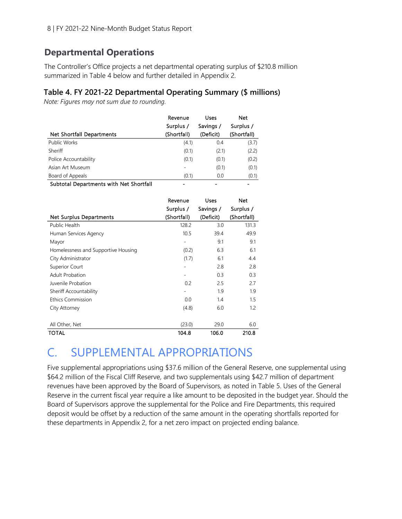#### **Departmental Operations**

The Controller's Office projects a net departmental operating surplus of \$210.8 million summarized in Table 4 below and further detailed in Appendix 2.

#### **Table 4. FY 2021-22 Departmental Operating Summary (\$ millions)**

*Note: Figures may not sum due to rounding.* 

|                                       | Revenue     | Uses      | Net         |
|---------------------------------------|-------------|-----------|-------------|
|                                       | Surplus /   | Savings / | Surplus /   |
| <b>Net Shortfall Departments</b>      | (Shortfall) | (Deficit) | (Shortfall) |
| Public Works                          | (4.1)       | 0.4       | (3.7)       |
| Sheriff                               | (0.1)       | (2.1)     | (2.2)       |
| Police Accountability                 | (0.1)       | (0.1)     | (0.2)       |
| Asian Art Museum                      |             | (0.1)     | (0.1)       |
| Board of Appeals                      | (0.1)       | 0.0       | (0.1)       |
| Cultured Departures with Net Chaptell |             |           |             |

Subtotal Departments with Net Shortfall

|                                     | Revenue                      | Uses      | Net         |
|-------------------------------------|------------------------------|-----------|-------------|
|                                     | Surplus /                    | Savings / | Surplus /   |
| <b>Net Surplus Departments</b>      | (Shortfall)                  | (Deficit) | (Shortfall) |
| Public Health                       | 128.2                        | 3.0       | 131.3       |
| Human Services Agency               | 10.5                         | 39.4      | 49.9        |
| Mayor                               | $\qquad \qquad \blacksquare$ | 9.1       | 9.1         |
| Homelessness and Supportive Housing | (0.2)                        | 6.3       | 6.1         |
| City Administrator                  | (1.7)                        | 6.1       | 4.4         |
| Superior Court                      | $\overline{\phantom{0}}$     | 2.8       | 2.8         |
| <b>Adult Probation</b>              | -                            | 0.3       | 0.3         |
| Juvenile Probation                  | 0.2                          | 2.5       | 2.7         |
| Sheriff Accountability              | $\overline{\phantom{0}}$     | 1.9       | 1.9         |
| <b>Ethics Commission</b>            | 0.0                          | 1.4       | 1.5         |
| City Attorney                       | (4.8)                        | 6.0       | 1.2         |
|                                     |                              |           |             |
| All Other, Net                      | (23.0)                       | 29.0      | 6.0         |
| TOTAL                               | 104.8                        | 106.0     | 210.8       |

## C. SUPPLEMENTAL APPROPRIATIONS

Five supplemental appropriations using \$37.6 million of the General Reserve, one supplemental using \$64.2 million of the Fiscal Cliff Reserve, and two supplementals using \$42.7 million of department revenues have been approved by the Board of Supervisors, as noted in Table 5. Uses of the General Reserve in the current fiscal year require a like amount to be deposited in the budget year. Should the Board of Supervisors approve the supplemental for the Police and Fire Departments, this required deposit would be offset by a reduction of the same amount in the operating shortfalls reported for these departments in Appendix 2, for a net zero impact on projected ending balance.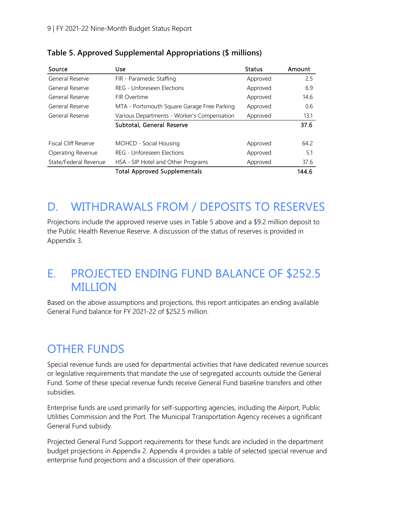| Source                      | Use                                         | <b>Status</b> | Amount |
|-----------------------------|---------------------------------------------|---------------|--------|
| General Reserve             | FIR - Paramedic Staffing                    | Approved      | 2.5    |
| General Reserve             | REG - Unforeseen Elections                  | Approved      | 6.9    |
| General Reserve             | FIR Overtime                                | Approved      | 14.6   |
| General Reserve             | MTA - Portsmouth Square Garage Free Parking | Approved      | 0.6    |
| General Reserve             | Various Departments - Worker's Compensation | Approved      | 13.1   |
|                             | Subtotal, General Reserve                   |               | 37.6   |
|                             |                                             |               |        |
| <b>Fiscal Cliff Reserve</b> | MOHCD - Social Housing                      | Approved      | 64.2   |
| Operating Revenue           | REG - Unforeseen Elections                  | Approved      | 5.1    |
| State/Federal Revenue       | HSA - SIP Hotel and Other Programs          | Approved      | 37.6   |
|                             | <b>Total Approved Supplementals</b>         |               | 144.6  |

**Table 5. Approved Supplemental Appropriations (\$ millions)**

## D. WITHDRAWALS FROM / DEPOSITS TO RESERVES

Projections include the approved reserve uses in Table 5 above and a \$9.2 million deposit to the Public Health Revenue Reserve. A discussion of the status of reserves is provided in Appendix 3.

## E. PROJECTED ENDING FUND BALANCE OF \$252.5 MILLION

Based on the above assumptions and projections, this report anticipates an ending available General Fund balance for FY 2021-22 of \$252.5 million.

# OTHER FUNDS

Special revenue funds are used for departmental activities that have dedicated revenue sources or legislative requirements that mandate the use of segregated accounts outside the General Fund. Some of these special revenue funds receive General Fund baseline transfers and other subsidies.

Enterprise funds are used primarily for self-supporting agencies, including the Airport, Public Utilities Commission and the Port. The Municipal Transportation Agency receives a significant General Fund subsidy.

Projected General Fund Support requirements for these funds are included in the department budget projections in Appendix 2. Appendix 4 provides a table of selected special revenue and enterprise fund projections and a discussion of their operations.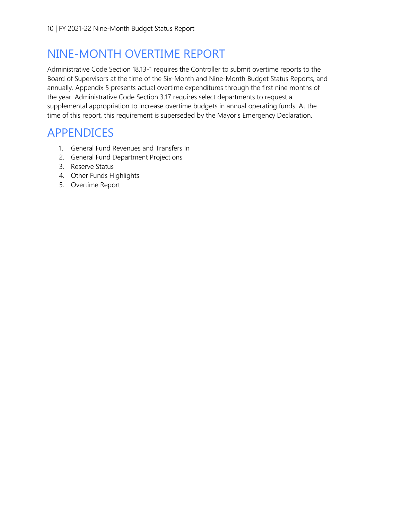## NINE-MONTH OVERTIME REPORT

Administrative Code Section 18.13-1 requires the Controller to submit overtime reports to the Board of Supervisors at the time of the Six-Month and Nine-Month Budget Status Reports, and annually. Appendix 5 presents actual overtime expenditures through the first nine months of the year. Administrative Code Section 3.17 requires select departments to request a supplemental appropriation to increase overtime budgets in annual operating funds. At the time of this report, this requirement is superseded by the Mayor's Emergency Declaration.

## APPENDICES

- 1. General Fund Revenues and Transfers In
- 2. General Fund Department Projections
- 3. Reserve Status
- 4. Other Funds Highlights
- 5. Overtime Report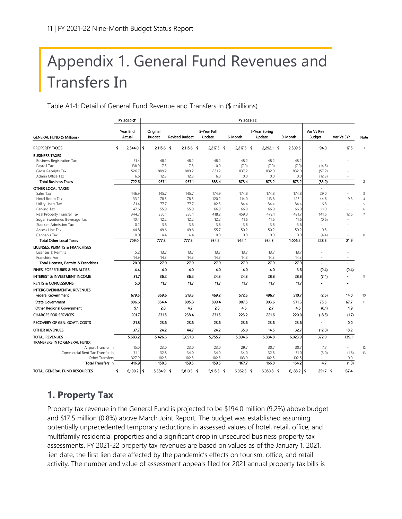# Appendix 1. General Fund Revenues and Transfers In

Table A1-1: Detail of General Fund Revenue and Transfers In (\$ millions)

|                                                                | FY 2020-21           |                           |                       |                       | FY 2021-22   |                         |                |                             |                |                |
|----------------------------------------------------------------|----------------------|---------------------------|-----------------------|-----------------------|--------------|-------------------------|----------------|-----------------------------|----------------|----------------|
| <b>GENERAL FUND (\$ Millions)</b>                              | Year End<br>Actual   | Original<br><b>Budget</b> | <b>Revised Budget</b> | 5-Year Fall<br>Update | 6-Month      | 5-Year Spring<br>Update | 9-Month        | Var Vs Rev<br><b>Budget</b> | Var Vs 5Yr     | Note           |
| <b>PROPERTY TAXES</b>                                          | $2,344.0$   \$<br>\$ | $2,115.6$ \$              | $2,115.6$ \$          | $2,217.5$ \$          | 2,217.5 \$   | $2,292.1$ \$            | 2,309.6        | 194.0                       | 17.5           | $\mathbf{1}$   |
| <b>BUSINESS TAXES</b>                                          |                      |                           |                       |                       |              |                         |                |                             |                |                |
| <b>Business Registration Tax</b>                               | 51.4                 | 48.2                      | 48.2                  | 48.2                  | 48.2         | 48.2                    | 48.2           |                             |                |                |
| Payroll Tax                                                    | 138.0                | 7.5                       | 7.5                   | 0.0                   | (7.0)        | (7.0)                   | (7.0)          | (14.5)                      |                |                |
| Gross Receipts Tax                                             | 526.7                | 889.2                     | 889.2                 | 831.2                 | 837.2        | 832.0                   | 832.0          | (57.2)                      |                |                |
| Admin Office Tax                                               | 6.6                  | 12.3                      | 12.3                  | 6.0                   | 0.0          | 0.0                     | 0.0            | (12.3)                      |                |                |
| <b>Total Business Taxes</b>                                    | 722.6                | 957.1                     | 957.1                 | 885.4                 | 878.4        | 873.2                   | 873.2          | (83.9)                      | $\blacksquare$ | 2              |
| <b>OTHER LOCAL TAXES</b>                                       |                      |                           |                       |                       |              |                         |                | $\blacksquare$              |                |                |
| Sales Tax                                                      | 146.9                | 145.7                     | 145.7                 | 174.9                 | 174.8        | 174.8                   | 174.8          | 29.0                        | ÷              | 3              |
| Hotel Room Tax                                                 | 33.2                 | 78.5                      | 78.5                  | 120.2                 | 114.0        | 113.8                   | 123.1          | 44.6                        | 9.3            | $\overline{4}$ |
| Utility Users Tax                                              | 81.4<br>47.6         | 77.7<br>55.9              | 77.7<br>55.9          | 82.5<br>66.9          | 84.4<br>66.9 | 84.4<br>66.9            | 84.4<br>66.9   | 6.8<br>11.0                 | ÷.<br>ä,       | 5<br>6         |
| Parking Tax<br>Real Property Transfer Tax                      | 344.7                | 350.1                     | 350.1                 | 418.2                 | 459.0        | 479.1                   | 491.7          | 141.6                       | 12.6           | $\overline{7}$ |
| Sugar Sweetened Beverage Tax                                   | 10.4                 | 12.2                      | 12.2                  | 12.2                  | 11.6         | 11.6                    | 11.6           | (0.6)                       |                |                |
| Stadium Admission Tax                                          | 0.2                  | 3.6                       | 3.6                   | 3.6                   | 3.6          | 3.6                     | 3.6            |                             |                |                |
| Access Line Tax                                                | 44.8                 | 49.6                      | 49.6                  | 55.7                  | 50.2         | 50.2                    | 50.2           | 0.5                         | ä,             |                |
| Cannabis Tax                                                   | 0.0                  | 4.4                       | 4.4                   | 0.0                   | 0.0          | 0.0                     | 0.0            | (4.4)                       |                | 8              |
| <b>Total Other Local Taxes</b>                                 | 709.0                | 777.8                     | 777.8                 | 934.2                 | 964.4        | 984.3                   | 1,006.2        | 228.5                       | 21.9           |                |
| LICENSES, PERMITS & FRANCHISES                                 |                      |                           |                       |                       |              |                         |                |                             |                |                |
| Licenses & Permits                                             | 5.2                  | 13.7                      | 13.7                  | 13.7                  | 13.7         | 13.7                    | 13.7           |                             |                |                |
| Franchise Fee                                                  | 14.9                 | 14.3                      | 14.3                  | 14.3                  | 14.3         | 14.3                    | 14.3           | $\sim$                      | $\sim$         |                |
| <b>Total Licenses, Permits &amp; Franchises</b>                | 20.0                 | 27.9                      | 27.9                  | 27.9                  | 27.9         | 27.9                    | 27.9           |                             |                |                |
| FINES, FORFEITURES & PENALTIES                                 | 4.4                  | 4.0                       | 4.0                   | 4.0                   | 4.0          | 4.0                     | 3.6            | (0.4)                       | (0.4)          |                |
| <b>INTEREST &amp; INVESTMENT INCOME</b>                        | 31.7                 | 36.2                      | 36.2                  | 24.3                  | 24.3         | 28.8                    | 28.8           | (7.4)                       |                | 9              |
| <b>RENTS &amp; CONCESSIONS</b>                                 | 5.0                  | 11.7                      | 11.7                  | 11.7                  | 11.7         | 11.7                    | 11.7           |                             |                |                |
| <b>INTERGOVERNMENTAL REVENUES</b><br><b>Federal Government</b> | 679.5                | 359.6                     | 513.3                 | 469.2                 | 572.5        | 496.7                   | 510.7          | (2.6)                       | 14.0           |                |
|                                                                |                      |                           |                       |                       |              |                         |                |                             |                | 10             |
| <b>State Government</b>                                        | 896.6                | 854.4                     | 895.8                 | 899.4                 | 907.5        | 903.6                   | 971.3          | 75.5                        | 67.7           | 11             |
| Other Regional Government                                      | 9.1                  | 2.8                       | 4.7                   | 2.8                   | 4.6          | 2.7                     | 4.6            | (0.1)                       | 1.9            |                |
| <b>CHARGES FOR SERVICES</b>                                    | 201.7                | 231.5                     | 238.4                 | 231.5                 | 223.2        | 221.6                   | 220.0          | (18.5)                      | (1.7)          |                |
| RECOVERY OF GEN. GOV'T. COSTS                                  | 21.8                 | 23.6                      | 23.6                  | 23.6                  | 23.6         | 23.6                    | 23.6           | $\blacksquare$              | 0.0            |                |
| <b>OTHER REVENUES</b>                                          | 37.7                 | 24.2                      | 44.7                  | 24.2                  | 35.0         | 14.5                    | 32.7           | (12.0)                      | 18.2           |                |
| <b>TOTAL REVENUES</b><br>TRANSFERS INTO GENERAL FUND:          | 5,683.2              | 5,426.6                   | 5,651.0               | 5,755.7               | 5,894.6      | 5.884.8                 | 6.023.9        | 372.9                       | 139.1          |                |
| Airport Transfer In                                            | 15.0                 | 23.0                      | 23.0                  | 23.0                  | 29.7         | 30.7                    | 30.7           | 7.7                         | $\bar{a}$      | 12             |
| Commercial Rent Tax Transfer In                                | 74.1                 | 32.8                      | 34.0                  | 34.0                  | 34.0         | 32.8                    | 31.0           | (3.0)                       | (1.8)          | 13             |
| Other Transfers                                                | 327.9                | 102.5                     | 102.5                 | 102.5                 | 103.9        | 102.5                   | 102.5          |                             | 0.0            |                |
| <b>Total Transfers In</b>                                      | 416.9                | 158.3                     | 159.5                 | 159.5                 | 167.7        | 166.0                   | 164.2          | 4.7                         | (1.8)          |                |
| TOTAL GENERAL FUND RESOURCES                                   | $6,100.2$   \$       | 5,584.9 \$                | 5.810.5 \$            | $5.915.3$ \$          | $6.062.3$ \$ | 6,050.8 \$              | $6,188.2$   \$ | $251.7$ \$                  | 137.4          |                |

#### **1. Property Tax**

Property tax revenue in the General Fund is projected to be \$194.0 million (9.2%) above budget and \$17.5 million (0.8%) above March Joint Report. The budget was established assuming potentially unprecedented temporary reductions in assessed values of hotel, retail, office, and multifamily residential properties and a significant drop in unsecured business property tax assessments. FY 2021-22 property tax revenues are based on values as of the January 1, 2021, lien date, the first lien date affected by the pandemic's effects on tourism, office, and retail activity. The number and value of assessment appeals filed for 2021 annual property tax bills is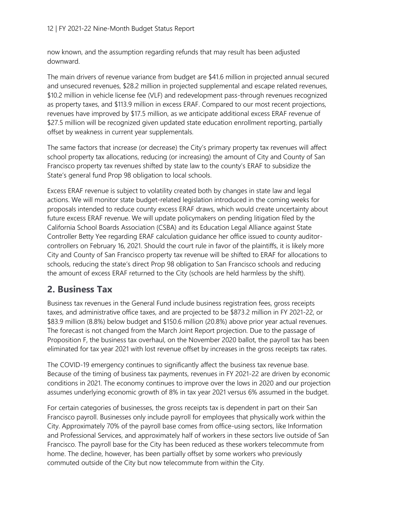now known, and the assumption regarding refunds that may result has been adjusted downward.

The main drivers of revenue variance from budget are \$41.6 million in projected annual secured and unsecured revenues, \$28.2 million in projected supplemental and escape related revenues, \$10.2 million in vehicle license fee (VLF) and redevelopment pass-through revenues recognized as property taxes, and \$113.9 million in excess ERAF. Compared to our most recent projections, revenues have improved by \$17.5 million, as we anticipate additional excess ERAF revenue of \$27.5 million will be recognized given updated state education enrollment reporting, partially offset by weakness in current year supplementals.

The same factors that increase (or decrease) the City's primary property tax revenues will affect school property tax allocations, reducing (or increasing) the amount of City and County of San Francisco property tax revenues shifted by state law to the county's ERAF to subsidize the State's general fund Prop 98 obligation to local schools.

Excess ERAF revenue is subject to volatility created both by changes in state law and legal actions. We will monitor state budget-related legislation introduced in the coming weeks for proposals intended to reduce county excess ERAF draws, which would create uncertainty about future excess ERAF revenue. We will update policymakers on pending litigation filed by the California School Boards Association (CSBA) and its Education Legal Alliance against State Controller Betty Yee regarding ERAF calculation guidance her office issued to county auditorcontrollers on February 16, 2021. Should the court rule in favor of the plaintiffs, it is likely more City and County of San Francisco property tax revenue will be shifted to ERAF for allocations to schools, reducing the state's direct Prop 98 obligation to San Francisco schools and reducing the amount of excess ERAF returned to the City (schools are held harmless by the shift).

#### **2. Business Tax**

Business tax revenues in the General Fund include business registration fees, gross receipts taxes, and administrative office taxes, and are projected to be \$873.2 million in FY 2021-22, or \$83.9 million (8.8%) below budget and \$150.6 million (20.8%) above prior year actual revenues. The forecast is not changed from the March Joint Report projection. Due to the passage of Proposition F, the business tax overhaul, on the November 2020 ballot, the payroll tax has been eliminated for tax year 2021 with lost revenue offset by increases in the gross receipts tax rates.

The COVID-19 emergency continues to significantly affect the business tax revenue base. Because of the timing of business tax payments, revenues in FY 2021-22 are driven by economic conditions in 2021. The economy continues to improve over the lows in 2020 and our projection assumes underlying economic growth of 8% in tax year 2021 versus 6% assumed in the budget.

For certain categories of businesses, the gross receipts tax is dependent in part on their San Francisco payroll. Businesses only include payroll for employees that physically work within the City. Approximately 70% of the payroll base comes from office-using sectors, like Information and Professional Services, and approximately half of workers in these sectors live outside of San Francisco. The payroll base for the City has been reduced as these workers telecommute from home. The decline, however, has been partially offset by some workers who previously commuted outside of the City but now telecommute from within the City.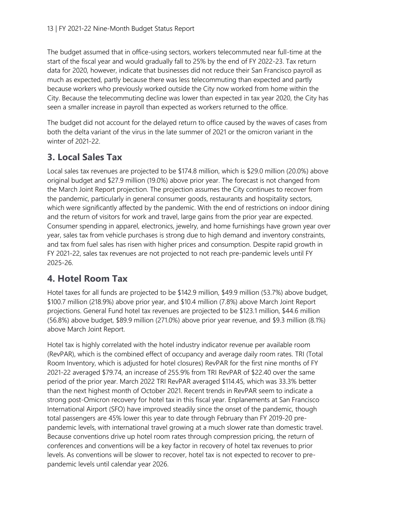The budget assumed that in office-using sectors, workers telecommuted near full-time at the start of the fiscal year and would gradually fall to 25% by the end of FY 2022-23. Tax return data for 2020, however, indicate that businesses did not reduce their San Francisco payroll as much as expected, partly because there was less telecommuting than expected and partly because workers who previously worked outside the City now worked from home within the City. Because the telecommuting decline was lower than expected in tax year 2020, the City has seen a smaller increase in payroll than expected as workers returned to the office.

The budget did not account for the delayed return to office caused by the waves of cases from both the delta variant of the virus in the late summer of 2021 or the omicron variant in the winter of 2021-22.

### **3. Local Sales Tax**

Local sales tax revenues are projected to be \$174.8 million, which is \$29.0 million (20.0%) above original budget and \$27.9 million (19.0%) above prior year. The forecast is not changed from the March Joint Report projection. The projection assumes the City continues to recover from the pandemic, particularly in general consumer goods, restaurants and hospitality sectors, which were significantly affected by the pandemic. With the end of restrictions on indoor dining and the return of visitors for work and travel, large gains from the prior year are expected. Consumer spending in apparel, electronics, jewelry, and home furnishings have grown year over year, sales tax from vehicle purchases is strong due to high demand and inventory constraints, and tax from fuel sales has risen with higher prices and consumption. Despite rapid growth in FY 2021-22, sales tax revenues are not projected to not reach pre-pandemic levels until FY 2025-26.

#### **4. Hotel Room Tax**

Hotel taxes for all funds are projected to be \$142.9 million, \$49.9 million (53.7%) above budget, \$100.7 million (218.9%) above prior year, and \$10.4 million (7.8%) above March Joint Report projections. General Fund hotel tax revenues are projected to be \$123.1 million, \$44.6 million (56.8%) above budget, \$89.9 million (271.0%) above prior year revenue, and \$9.3 million (8.1%) above March Joint Report.

Hotel tax is highly correlated with the hotel industry indicator revenue per available room (RevPAR), which is the combined effect of occupancy and average daily room rates. TRI (Total Room Inventory, which is adjusted for hotel closures) RevPAR for the first nine months of FY 2021-22 averaged \$79.74, an increase of 255.9% from TRI RevPAR of \$22.40 over the same period of the prior year. March 2022 TRI RevPAR averaged \$114.45, which was 33.3% better than the next highest month of October 2021. Recent trends in RevPAR seem to indicate a strong post-Omicron recovery for hotel tax in this fiscal year. Enplanements at San Francisco International Airport (SFO) have improved steadily since the onset of the pandemic, though total passengers are 45% lower this year to date through February than FY 2019-20 prepandemic levels, with international travel growing at a much slower rate than domestic travel. Because conventions drive up hotel room rates through compression pricing, the return of conferences and conventions will be a key factor in recovery of hotel tax revenues to prior levels. As conventions will be slower to recover, hotel tax is not expected to recover to prepandemic levels until calendar year 2026.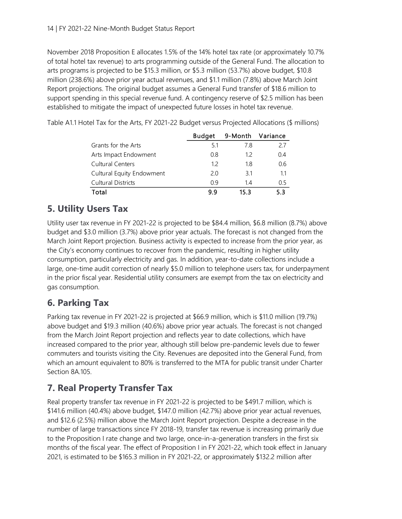November 2018 Proposition E allocates 1.5% of the 14% hotel tax rate (or approximately 10.7% of total hotel tax revenue) to arts programming outside of the General Fund. The allocation to arts programs is projected to be \$15.3 million, or \$5.3 million (53.7%) above budget, \$10.8 million (238.6%) above prior year actual revenues, and \$1.1 million (7.8%) above March Joint Report projections. The original budget assumes a General Fund transfer of \$18.6 million to support spending in this special revenue fund. A contingency reserve of \$2.5 million has been established to mitigate the impact of unexpected future losses in hotel tax revenue.

|                           | <b>Budget</b> |      | 9-Month Variance |
|---------------------------|---------------|------|------------------|
| Grants for the Arts       | -51           | 78   | 27               |
| Arts Impact Endowment     | 08            | 12   | 04               |
| <b>Cultural Centers</b>   | 12            | 1.8  | 0.6              |
| Cultural Equity Endowment | 20            | 31   | 11               |
| <b>Cultural Districts</b> | <u>በ</u> ዓ    | 14   | 0.5              |
| Total                     | 99            | 15.3 | 53               |

Table A1.1 Hotel Tax for the Arts, FY 2021-22 Budget versus Projected Allocations (\$ millions)

#### **5. Utility Users Tax**

Utility user tax revenue in FY 2021-22 is projected to be \$84.4 million, \$6.8 million (8.7%) above budget and \$3.0 million (3.7%) above prior year actuals. The forecast is not changed from the March Joint Report projection. Business activity is expected to increase from the prior year, as the City's economy continues to recover from the pandemic, resulting in higher utility consumption, particularly electricity and gas. In addition, year-to-date collections include a large, one-time audit correction of nearly \$5.0 million to telephone users tax, for underpayment in the prior fiscal year. Residential utility consumers are exempt from the tax on electricity and gas consumption.

#### **6. Parking Tax**

Parking tax revenue in FY 2021-22 is projected at \$66.9 million, which is \$11.0 million (19.7%) above budget and \$19.3 million (40.6%) above prior year actuals. The forecast is not changed from the March Joint Report projection and reflects year to date collections, which have increased compared to the prior year, although still below pre-pandemic levels due to fewer commuters and tourists visiting the City. Revenues are deposited into the General Fund, from which an amount equivalent to 80% is transferred to the MTA for public transit under Charter Section 8A.105.

### **7. Real Property Transfer Tax**

Real property transfer tax revenue in FY 2021-22 is projected to be \$491.7 million, which is \$141.6 million (40.4%) above budget, \$147.0 million (42.7%) above prior year actual revenues, and \$12.6 (2.5%) million above the March Joint Report projection. Despite a decrease in the number of large transactions since FY 2018-19, transfer tax revenue is increasing primarily due to the Proposition I rate change and two large, once-in-a-generation transfers in the first six months of the fiscal year. The effect of Proposition I in FY 2021-22, which took effect in January 2021, is estimated to be \$165.3 million in FY 2021-22, or approximately \$132.2 million after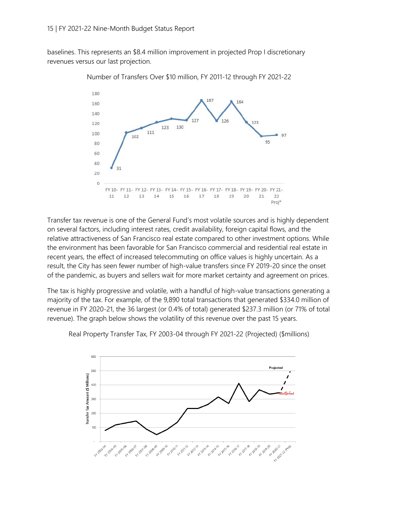baselines. This represents an \$8.4 million improvement in projected Prop I discretionary revenues versus our last projection.



Number of Transfers Over \$10 million, FY 2011-12 through FY 2021-22

Transfer tax revenue is one of the General Fund's most volatile sources and is highly dependent on several factors, including interest rates, credit availability, foreign capital flows, and the relative attractiveness of San Francisco real estate compared to other investment options. While the environment has been favorable for San Francisco commercial and residential real estate in recent years, the effect of increased telecommuting on office values is highly uncertain. As a result, the City has seen fewer number of high-value transfers since FY 2019-20 since the onset of the pandemic, as buyers and sellers wait for more market certainty and agreement on prices.

The tax is highly progressive and volatile, with a handful of high-value transactions generating a majority of the tax. For example, of the 9,890 total transactions that generated \$334.0 million of revenue in FY 2020-21, the 36 largest (or 0.4% of total) generated \$237.3 million (or 71% of total revenue). The graph below shows the volatility of this revenue over the past 15 years.



Real Property Transfer Tax, FY 2003-04 through FY 2021-22 (Projected) (\$millions)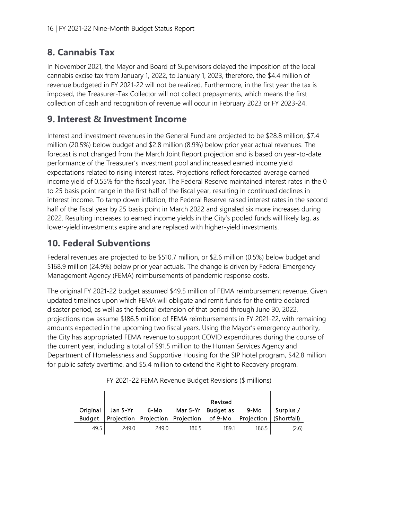#### **8. Cannabis Tax**

In November 2021, the Mayor and Board of Supervisors delayed the imposition of the local cannabis excise tax from January 1, 2022, to January 1, 2023, therefore, the \$4.4 million of revenue budgeted in FY 2021-22 will not be realized. Furthermore, in the first year the tax is imposed, the Treasurer-Tax Collector will not collect prepayments, which means the first collection of cash and recognition of revenue will occur in February 2023 or FY 2023-24.

#### **9. Interest & Investment Income**

Interest and investment revenues in the General Fund are projected to be \$28.8 million, \$7.4 million (20.5%) below budget and \$2.8 million (8.9%) below prior year actual revenues. The forecast is not changed from the March Joint Report projection and is based on year-to-date performance of the Treasurer's investment pool and increased earned income yield expectations related to rising interest rates. Projections reflect forecasted average earned income yield of 0.55% for the fiscal year. The Federal Reserve maintained interest rates in the 0 to 25 basis point range in the first half of the fiscal year, resulting in continued declines in interest income. To tamp down inflation, the Federal Reserve raised interest rates in the second half of the fiscal year by 25 basis point in March 2022 and signaled six more increases during 2022. Resulting increases to earned income yields in the City's pooled funds will likely lag, as lower-yield investments expire and are replaced with higher-yield investments.

#### **10. Federal Subventions**

Federal revenues are projected to be \$510.7 million, or \$2.6 million (0.5%) below budget and \$168.9 million (24.9%) below prior year actuals. The change is driven by Federal Emergency Management Agency (FEMA) reimbursements of pandemic response costs.

The original FY 2021-22 budget assumed \$49.5 million of FEMA reimbursement revenue. Given updated timelines upon which FEMA will obligate and remit funds for the entire declared disaster period, as well as the federal extension of that period through June 30, 2022, projections now assume \$186.5 million of FEMA reimbursements in FY 2021-22, with remaining amounts expected in the upcoming two fiscal years. Using the Mayor's emergency authority, the City has appropriated FEMA revenue to support COVID expenditures during the course of the current year, including a total of \$91.5 million to the Human Services Agency and Department of Homelessness and Supportive Housing for the SIP hotel program, \$42.8 million for public safety overtime, and \$5.4 million to extend the Right to Recovery program.

|                           |          |                                          |          | Revised                     |                    |                          |
|---------------------------|----------|------------------------------------------|----------|-----------------------------|--------------------|--------------------------|
| Original<br><b>Budget</b> | Jan 5-Yr | 6-Mo<br>Projection Projection Projection | Mar 5-Yr | <b>Budget as</b><br>of 9-Mo | 9-Mo<br>Projection | Surplus /<br>(Shortfall) |
| 49.5                      | 249.0    | 249.0                                    | 186.5    | 189.1                       | 186.5              | (2.6)                    |

FY 2021-22 FEMA Revenue Budget Revisions (\$ millions)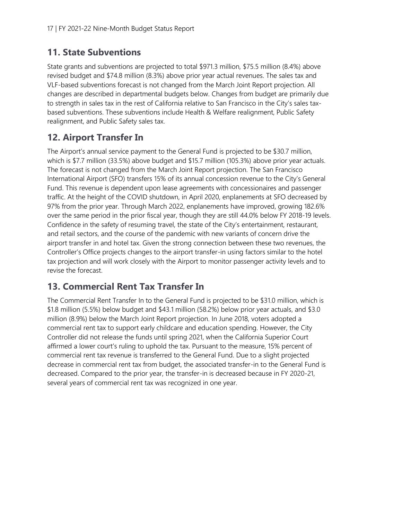#### **11. State Subventions**

State grants and subventions are projected to total \$971.3 million, \$75.5 million (8.4%) above revised budget and \$74.8 million (8.3%) above prior year actual revenues. The sales tax and VLF-based subventions forecast is not changed from the March Joint Report projection. All changes are described in departmental budgets below. Changes from budget are primarily due to strength in sales tax in the rest of California relative to San Francisco in the City's sales taxbased subventions. These subventions include Health & Welfare realignment, Public Safety realignment, and Public Safety sales tax.

### **12. Airport Transfer In**

The Airport's annual service payment to the General Fund is projected to be \$30.7 million, which is \$7.7 million (33.5%) above budget and \$15.7 million (105.3%) above prior year actuals. The forecast is not changed from the March Joint Report projection. The San Francisco International Airport (SFO) transfers 15% of its annual concession revenue to the City's General Fund. This revenue is dependent upon lease agreements with concessionaires and passenger traffic. At the height of the COVID shutdown, in April 2020, enplanements at SFO decreased by 97% from the prior year. Through March 2022, enplanements have improved, growing 182.6% over the same period in the prior fiscal year, though they are still 44.0% below FY 2018-19 levels. Confidence in the safety of resuming travel, the state of the City's entertainment, restaurant, and retail sectors, and the course of the pandemic with new variants of concern drive the airport transfer in and hotel tax. Given the strong connection between these two revenues, the Controller's Office projects changes to the airport transfer-in using factors similar to the hotel tax projection and will work closely with the Airport to monitor passenger activity levels and to revise the forecast.

### **13. Commercial Rent Tax Transfer In**

The Commercial Rent Transfer In to the General Fund is projected to be \$31.0 million, which is \$1.8 million (5.5%) below budget and \$43.1 million (58.2%) below prior year actuals, and \$3.0 million (8.9%) below the March Joint Report projection. In June 2018, voters adopted a commercial rent tax to support early childcare and education spending. However, the City Controller did not release the funds until spring 2021, when the California Superior Court affirmed a lower court's ruling to uphold the tax. Pursuant to the measure, 15% percent of commercial rent tax revenue is transferred to the General Fund. Due to a slight projected decrease in commercial rent tax from budget, the associated transfer-in to the General Fund is decreased. Compared to the prior year, the transfer-in is decreased because in FY 2020-21, several years of commercial rent tax was recognized in one year.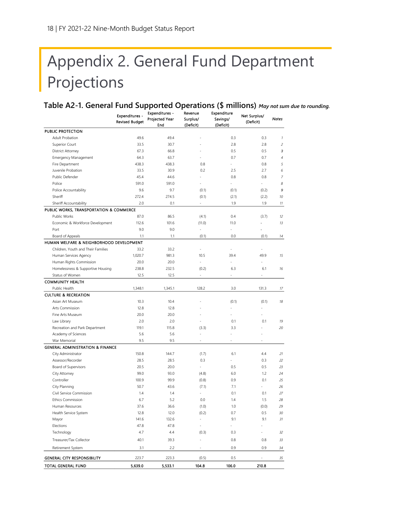# Appendix 2. General Fund Department Projections

**Table A2-1. General Fund Supported Operations (\$ millions)** *May not sum due to rounding.*

|                                             | Expenditures -<br><b>Revised Budget</b> | <b>Expenditures -</b><br>Projected Year<br>End | Revenue<br>Surplus/<br>(Deficit) | Expenditure<br>Savings/<br>(Deficit) | Net Surplus/<br>(Deficit) | <b>Notes</b>       |
|---------------------------------------------|-----------------------------------------|------------------------------------------------|----------------------------------|--------------------------------------|---------------------------|--------------------|
| <b>PUBLIC PROTECTION</b>                    |                                         |                                                |                                  |                                      |                           |                    |
| Adult Probation                             | 49.6                                    | 49.4                                           |                                  | 0.3                                  | 0.3                       | $\overline{\iota}$ |
| Superior Court                              | 33.5                                    | 30.7                                           |                                  | 2.8                                  | 2.8                       | $\overline{c}$     |
| <b>District Attorney</b>                    | 67.3                                    | 66.8                                           |                                  | 0.5                                  | 0.5                       | 3                  |
| <b>Emergency Management</b>                 | 64.3                                    | 63.7                                           |                                  | 0.7                                  | 0.7                       | $\overline{4}$     |
| Fire Department                             | 438.3                                   | 438.3                                          | 0.8                              |                                      | 0.8                       | 5                  |
| Juvenile Probation                          | 33.5                                    | 30.9                                           | 0.2                              | 2.5                                  | 2.7                       | 6                  |
| Public Defender                             | 45.4                                    | 44.6                                           |                                  | 0.8                                  | 0.8                       | $\overline{7}$     |
| Police                                      | 591.0                                   | 591.0                                          |                                  |                                      |                           | 8                  |
| Police Accountability                       | 9.6                                     | 9.7                                            | (0.1)                            | (0.1)                                | (0.2)                     | 9                  |
| Sheriff                                     | 272.4                                   | 274.5                                          | (0.1)                            | (2.1)                                | (2.2)                     | 10                 |
| Sheriff Accountability                      | 2.0                                     | 0.1                                            |                                  | 1.9                                  | 1.9                       | 11                 |
| PUBLIC WORKS, TRANSPORTATION & COMMERCE     |                                         |                                                |                                  |                                      |                           |                    |
| Public Works                                | 87.0                                    | 86.5                                           | (4.1)                            | 0.4                                  | (3.7)                     | 12                 |
| Economic & Workforce Development            | 112.6                                   | 101.6                                          | (11.0)                           | 11.0                                 |                           | 13                 |
| Port                                        | 9.0                                     | 9.0                                            | $\blacksquare$                   | ÷,                                   | $\ddot{\phantom{1}}$      |                    |
| Board of Appeals                            | 1.1                                     | 1.1                                            | (0.1)                            | 0.0                                  | (0.1)                     | 74                 |
| HUMAN WELFARE & NEIGHBORHOOD DEVELOPMENT    |                                         |                                                |                                  |                                      |                           |                    |
| Children, Youth and Their Families          | 33.2                                    | 33.2                                           | $\sim$                           |                                      |                           |                    |
| Human Services Agency                       | 1,020.7                                 | 981.3                                          | 10.5                             | 39.4                                 | 49.9                      | 15                 |
| Human Rights Commission                     | 20.0                                    | 20.0                                           |                                  |                                      |                           |                    |
| Homelessness & Supportive Housing           | 238.8                                   | 232.5                                          | (0.2)                            | 6.3                                  | 6.1                       | 16                 |
| Status of Women                             | 12.5                                    | 12.5                                           |                                  |                                      |                           |                    |
| <b>COMMUNITY HEALTH</b>                     |                                         |                                                |                                  |                                      |                           |                    |
| Public Health                               | 1,348.1                                 | 1,345.1                                        | 128.2                            | 3.0                                  | 131.3                     | 17                 |
| <b>CULTURE &amp; RECREATION</b>             |                                         |                                                |                                  |                                      |                           |                    |
| Asian Art Museum                            | 10.3                                    | 10.4                                           |                                  | (0.1)                                | (0.1)                     | 18                 |
| Arts Commission                             | 12.8                                    | 12.8                                           |                                  | ä,                                   |                           |                    |
| Fine Arts Museum                            | 20.0                                    | 20.0                                           |                                  |                                      |                           |                    |
| Law Library                                 | 2.0                                     | 2.0                                            |                                  | 0.1                                  | 0.1                       | 19                 |
| Recreation and Park Department              | 119.1                                   | 115.8                                          | (3.3)                            | 3.3                                  |                           | 20                 |
| Academy of Sciences                         | 5.6                                     | 5.6                                            |                                  |                                      |                           |                    |
| War Memorial                                | 9.5                                     | 9.5                                            |                                  |                                      |                           |                    |
| <b>GENERAL ADMINISTRATION &amp; FINANCE</b> |                                         |                                                |                                  |                                      |                           |                    |
|                                             |                                         |                                                |                                  |                                      |                           |                    |
| City Administrator<br>Assessor/Recorder     | 150.8<br>28.5                           | 144.7<br>28.5                                  | (1.7)<br>0.3                     | 6.1                                  | 4.4<br>0.3                | 21<br>22           |
|                                             | 20.5                                    | 20.0                                           |                                  | 0.5                                  |                           | 23                 |
| Board of Supervisors                        |                                         |                                                |                                  |                                      | 0.5<br>1.2                |                    |
| City Attorney<br>Controller                 | 99.0<br>100.9                           | 93.0<br>99.9                                   | (4.8)                            | 6.0<br>0.9                           | 0.1                       | 24<br>25           |
| City Planning                               |                                         |                                                | (0.8)                            |                                      | ÷,                        |                    |
|                                             | 50.7                                    | 43.6                                           | (7.1)                            | 7.1                                  |                           | 26                 |
| Civil Service Commission                    | 1.4                                     | 1.4                                            |                                  | 0.1                                  | 0.1                       | 27                 |
| <b>Ethics Commission</b>                    | 6.7                                     | 5.2                                            | 0.0                              | 1.4                                  | 1.5                       | 28                 |
| Human Resources                             | 37.6                                    | 36.6                                           | (1.0)                            | 1.0                                  | (0.0)                     | 29                 |
| Health Service System                       | 12.8                                    | 12.0                                           | (0.2)                            | 0.7                                  | 0.5                       | 30                 |
| Mayor                                       | 141.6                                   | 132.6                                          |                                  | 9.1                                  | 9.1                       | 31                 |
| Elections                                   | 47.8                                    | 47.8                                           | ÷,                               |                                      | ÷,                        |                    |
| Technology                                  | 4.7                                     | 4.4                                            | (0.3)                            | 0.3                                  | ÷,                        | 32                 |
| Treasurer/Tax Collector                     | 40.1                                    | 39.3                                           | ÷,                               | 0.8                                  | 0.8                       | 33                 |
| Retirement System                           | 3.1                                     | 2.2                                            |                                  | 0.9                                  | 0.9                       | 34                 |
| <b>GENERAL CITY RESPONSIBILITY</b>          | 223.7                                   | 223.3                                          | (0.5)                            | 0.5                                  |                           | 35                 |
| TOTAL GENERAL FUND                          | 5,639.0                                 | 5,533.1                                        | 104.8                            | 106.0                                | 210.8                     |                    |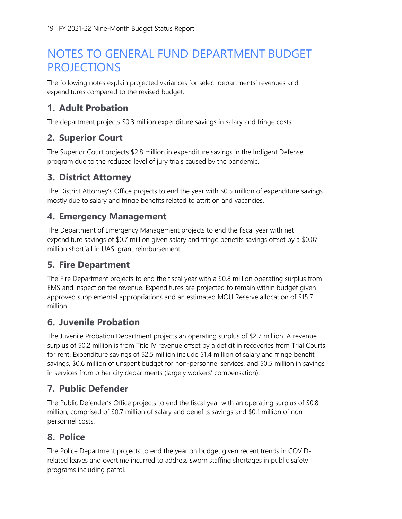## NOTES TO GENERAL FUND DEPARTMENT BUDGET **PROJECTIONS**

The following notes explain projected variances for select departments' revenues and expenditures compared to the revised budget.

#### **1. Adult Probation**

The department projects \$0.3 million expenditure savings in salary and fringe costs.

#### **2. Superior Court**

The Superior Court projects \$2.8 million in expenditure savings in the Indigent Defense program due to the reduced level of jury trials caused by the pandemic.

#### **3. District Attorney**

The District Attorney's Office projects to end the year with \$0.5 million of expenditure savings mostly due to salary and fringe benefits related to attrition and vacancies.

#### **4. Emergency Management**

The Department of Emergency Management projects to end the fiscal year with net expenditure savings of \$0.7 million given salary and fringe benefits savings offset by a \$0.07 million shortfall in UASI grant reimbursement.

#### **5. Fire Department**

The Fire Department projects to end the fiscal year with a \$0.8 million operating surplus from EMS and inspection fee revenue. Expenditures are projected to remain within budget given approved supplemental appropriations and an estimated MOU Reserve allocation of \$15.7 million.

#### **6. Juvenile Probation**

The Juvenile Probation Department projects an operating surplus of \$2.7 million. A revenue surplus of \$0.2 million is from Title IV revenue offset by a deficit in recoveries from Trial Courts for rent. Expenditure savings of \$2.5 million include \$1.4 million of salary and fringe benefit savings, \$0.6 million of unspent budget for non-personnel services, and \$0.5 million in savings in services from other city departments (largely workers' compensation).

#### **7. Public Defender**

The Public Defender's Office projects to end the fiscal year with an operating surplus of \$0.8 million, comprised of \$0.7 million of salary and benefits savings and \$0.1 million of nonpersonnel costs.

#### **8. Police**

The Police Department projects to end the year on budget given recent trends in COVIDrelated leaves and overtime incurred to address sworn staffing shortages in public safety programs including patrol.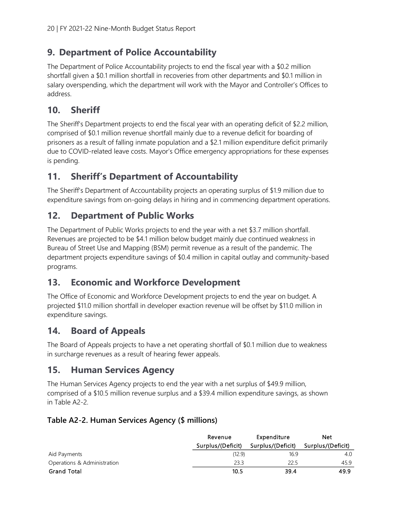#### **9. Department of Police Accountability**

The Department of Police Accountability projects to end the fiscal year with a \$0.2 million shortfall given a \$0.1 million shortfall in recoveries from other departments and \$0.1 million in salary overspending, which the department will work with the Mayor and Controller's Offices to address.

#### **10. Sheriff**

The Sheriff's Department projects to end the fiscal year with an operating deficit of \$2.2 million, comprised of \$0.1 million revenue shortfall mainly due to a revenue deficit for boarding of prisoners as a result of falling inmate population and a \$2.1 million expenditure deficit primarily due to COVID-related leave costs. Mayor's Office emergency appropriations for these expenses is pending.

#### **11. Sheriff's Department of Accountability**

The Sheriff's Department of Accountability projects an operating surplus of \$1.9 million due to expenditure savings from on-going delays in hiring and in commencing department operations.

#### **12. Department of Public Works**

The Department of Public Works projects to end the year with a net \$3.7 million shortfall. Revenues are projected to be \$4.1 million below budget mainly due continued weakness in Bureau of Street Use and Mapping (BSM) permit revenue as a result of the pandemic. The department projects expenditure savings of \$0.4 million in capital outlay and community-based programs.

#### **13. Economic and Workforce Development**

The Office of Economic and Workforce Development projects to end the year on budget. A projected \$11.0 million shortfall in developer exaction revenue will be offset by \$11.0 million in expenditure savings.

#### **14. Board of Appeals**

The Board of Appeals projects to have a net operating shortfall of \$0.1 million due to weakness in surcharge revenues as a result of hearing fewer appeals.

#### **15. Human Services Agency**

The Human Services Agency projects to end the year with a net surplus of \$49.9 million, comprised of a \$10.5 million revenue surplus and a \$39.4 million expenditure savings, as shown in Table A2-2.

#### **Table A2-2. Human Services Agency (\$ millions)**

|                             | Revenue           | Expenditure       | <b>Net</b>        |
|-----------------------------|-------------------|-------------------|-------------------|
|                             | Surplus/(Deficit) | Surplus/(Deficit) | Surplus/(Deficit) |
| Aid Payments                | (12.9)            | 16.9              | 4.0               |
| Operations & Administration | 23.3              | 22.5              | 45.9              |
| <b>Grand Total</b>          | 10.5              | 39.4              | 49.9              |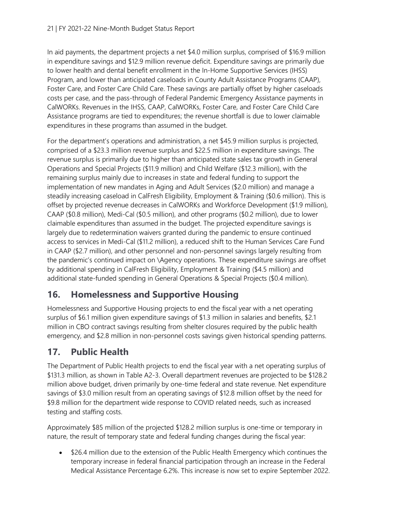In aid payments, the department projects a net \$4.0 million surplus, comprised of \$16.9 million in expenditure savings and \$12.9 million revenue deficit. Expenditure savings are primarily due to lower health and dental benefit enrollment in the In-Home Supportive Services (IHSS) Program, and lower than anticipated caseloads in County Adult Assistance Programs (CAAP), Foster Care, and Foster Care Child Care. These savings are partially offset by higher caseloads costs per case, and the pass-through of Federal Pandemic Emergency Assistance payments in CalWORKs. Revenues in the IHSS, CAAP, CalWORKs, Foster Care, and Foster Care Child Care Assistance programs are tied to expenditures; the revenue shortfall is due to lower claimable expenditures in these programs than assumed in the budget.

For the department's operations and administration, a net \$45.9 million surplus is projected, comprised of a \$23.3 million revenue surplus and \$22.5 million in expenditure savings. The revenue surplus is primarily due to higher than anticipated state sales tax growth in General Operations and Special Projects (\$11.9 million) and Child Welfare (\$12.3 million), with the remaining surplus mainly due to increases in state and federal funding to support the implementation of new mandates in Aging and Adult Services (\$2.0 million) and manage a steadily increasing caseload in CalFresh Eligibility, Employment & Training (\$0.6 million). This is offset by projected revenue decreases in CalWORKs and Workforce Development (\$1.9 million), CAAP (\$0.8 million), Medi-Cal (\$0.5 million), and other programs (\$0.2 million), due to lower claimable expenditures than assumed in the budget. The projected expenditure savings is largely due to redetermination waivers granted during the pandemic to ensure continued access to services in Medi-Cal (\$11.2 million), a reduced shift to the Human Services Care Fund in CAAP (\$2.7 million), and other personnel and non-personnel savings largely resulting from the pandemic's continued impact on \Agency operations. These expenditure savings are offset by additional spending in CalFresh Eligibility, Employment & Training (\$4.5 million) and additional state-funded spending in General Operations & Special Projects (\$0.4 million).

#### **16. Homelessness and Supportive Housing**

Homelessness and Supportive Housing projects to end the fiscal year with a net operating surplus of \$6.1 million given expenditure savings of \$1.3 million in salaries and benefits, \$2.1 million in CBO contract savings resulting from shelter closures required by the public health emergency, and \$2.8 million in non-personnel costs savings given historical spending patterns.

#### **17. Public Health**

The Department of Public Health projects to end the fiscal year with a net operating surplus of \$131.3 million, as shown in Table A2-3. Overall department revenues are projected to be \$128.2 million above budget, driven primarily by one-time federal and state revenue. Net expenditure savings of \$3.0 million result from an operating savings of \$12.8 million offset by the need for \$9.8 million for the department wide response to COVID related needs, such as increased testing and staffing costs.

Approximately \$85 million of the projected \$128.2 million surplus is one-time or temporary in nature, the result of temporary state and federal funding changes during the fiscal year:

• \$26.4 million due to the extension of the Public Health Emergency which continues the temporary increase in federal financial participation through an increase in the Federal Medical Assistance Percentage 6.2%. This increase is now set to expire September 2022.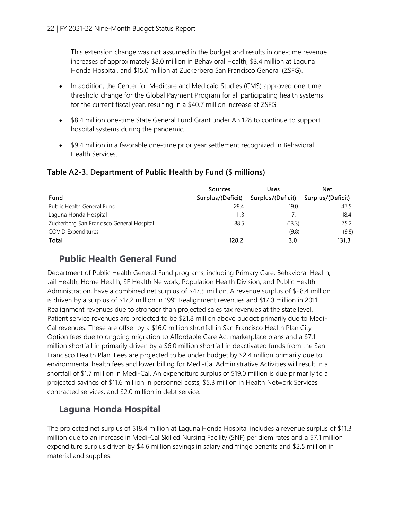This extension change was not assumed in the budget and results in one-time revenue increases of approximately \$8.0 million in Behavioral Health, \$3.4 million at Laguna Honda Hospital, and \$15.0 million at Zuckerberg San Francisco General (ZSFG).

- In addition, the Center for Medicare and Medicaid Studies (CMS) approved one-time threshold change for the Global Payment Program for all participating health systems for the current fiscal year, resulting in a \$40.7 million increase at ZSFG.
- \$8.4 million one-time State General Fund Grant under AB 128 to continue to support hospital systems during the pandemic.
- \$9.4 million in a favorable one-time prior year settlement recognized in Behavioral Health Services.

#### **Table A2-3. Department of Public Health by Fund (\$ millions)**

|                                           | Sources           | Uses              | Net               |  |
|-------------------------------------------|-------------------|-------------------|-------------------|--|
| Fund                                      | Surplus/(Deficit) | Surplus/(Deficit) | Surplus/(Deficit) |  |
| Public Health General Fund                | 28.4              | 19.0              | 47.5              |  |
| Laguna Honda Hospital                     | 11.3              | 7.1               | 18.4              |  |
| Zuckerberg San Francisco General Hospital | 88.5              | (13.3)            | 75.2              |  |
| <b>COVID Expenditures</b>                 |                   | (9.8)             | (9.8)             |  |
| Total                                     | 128.2             | 3.0               | 131.3             |  |

#### **Public Health General Fund**

Department of Public Health General Fund programs, including Primary Care, Behavioral Health, Jail Health, Home Health, SF Health Network, Population Health Division, and Public Health Administration, have a combined net surplus of \$47.5 million. A revenue surplus of \$28.4 million is driven by a surplus of \$17.2 million in 1991 Realignment revenues and \$17.0 million in 2011 Realignment revenues due to stronger than projected sales tax revenues at the state level. Patient service revenues are projected to be \$21.8 million above budget primarily due to Medi-Cal revenues. These are offset by a \$16.0 million shortfall in San Francisco Health Plan City Option fees due to ongoing migration to Affordable Care Act marketplace plans and a \$7.1 million shortfall in primarily driven by a \$6.0 million shortfall in deactivated funds from the San Francisco Health Plan. Fees are projected to be under budget by \$2.4 million primarily due to environmental health fees and lower billing for Medi-Cal Administrative Activities will result in a shortfall of \$1.7 million in Medi-Cal. An expenditure surplus of \$19.0 million is due primarily to a projected savings of \$11.6 million in personnel costs, \$5.3 million in Health Network Services contracted services, and \$2.0 million in debt service.

#### **Laguna Honda Hospital**

The projected net surplus of \$18.4 million at Laguna Honda Hospital includes a revenue surplus of \$11.3 million due to an increase in Medi-Cal Skilled Nursing Facility (SNF) per diem rates and a \$7.1 million expenditure surplus driven by \$4.6 million savings in salary and fringe benefits and \$2.5 million in material and supplies.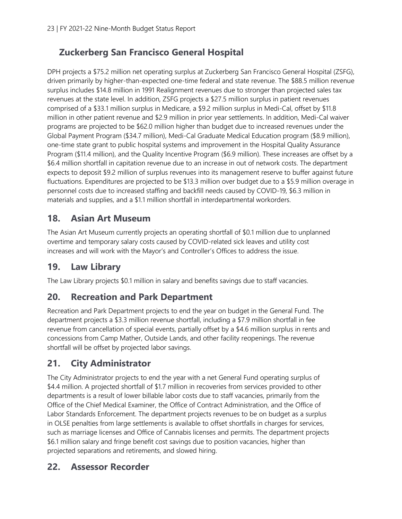#### **Zuckerberg San Francisco General Hospital**

DPH projects a \$75.2 million net operating surplus at Zuckerberg San Francisco General Hospital (ZSFG), driven primarily by higher-than-expected one-time federal and state revenue. The \$88.5 million revenue surplus includes \$14.8 million in 1991 Realignment revenues due to stronger than projected sales tax revenues at the state level. In addition, ZSFG projects a \$27.5 million surplus in patient revenues comprised of a \$33.1 million surplus in Medicare, a \$9.2 million surplus in Medi-Cal, offset by \$11.8 million in other patient revenue and \$2.9 million in prior year settlements. In addition, Medi-Cal waiver programs are projected to be \$62.0 million higher than budget due to increased revenues under the Global Payment Program (\$34.7 million), Medi-Cal Graduate Medical Education program (\$8.9 million), one-time state grant to public hospital systems and improvement in the Hospital Quality Assurance Program (\$11.4 million), and the Quality Incentive Program (\$6.9 million). These increases are offset by a \$6.4 million shortfall in capitation revenue due to an increase in out of network costs. The department expects to deposit \$9.2 million of surplus revenues into its management reserve to buffer against future fluctuations. Expenditures are projected to be \$13.3 million over budget due to a \$5.9 million overage in personnel costs due to increased staffing and backfill needs caused by COVID-19, \$6.3 million in materials and supplies, and a \$1.1 million shortfall in interdepartmental workorders.

#### **18. Asian Art Museum**

The Asian Art Museum currently projects an operating shortfall of \$0.1 million due to unplanned overtime and temporary salary costs caused by COVID-related sick leaves and utility cost increases and will work with the Mayor's and Controller's Offices to address the issue.

#### **19. Law Library**

The Law Library projects \$0.1 million in salary and benefits savings due to staff vacancies.

#### **20. Recreation and Park Department**

Recreation and Park Department projects to end the year on budget in the General Fund. The department projects a \$3.3 million revenue shortfall, including a \$7.9 million shortfall in fee revenue from cancellation of special events, partially offset by a \$4.6 million surplus in rents and concessions from Camp Mather, Outside Lands, and other facility reopenings. The revenue shortfall will be offset by projected labor savings.

#### **21. City Administrator**

The City Administrator projects to end the year with a net General Fund operating surplus of \$4.4 million. A projected shortfall of \$1.7 million in recoveries from services provided to other departments is a result of lower billable labor costs due to staff vacancies, primarily from the Office of the Chief Medical Examiner, the Office of Contract Administration, and the Office of Labor Standards Enforcement. The department projects revenues to be on budget as a surplus in OLSE penalties from large settlements is available to offset shortfalls in charges for services, such as marriage licenses and Office of Cannabis licenses and permits. The department projects \$6.1 million salary and fringe benefit cost savings due to position vacancies, higher than projected separations and retirements, and slowed hiring.

#### **22. Assessor Recorder**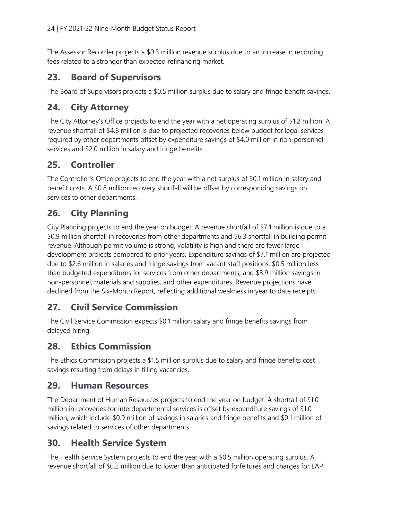The Assessor Recorder projects a \$0.3 million revenue surplus due to an increase in recording fees related to a stronger than expected refinancing market.

#### **23. Board of Supervisors**

The Board of Supervisors projects a \$0.5 million surplus due to salary and fringe benefit savings.

#### **24. City Attorney**

The City Attorney's Office projects to end the year with a net operating surplus of \$1.2 million. A revenue shortfall of \$4.8 million is due to projected recoveries below budget for legal services required by other departments offset by expenditure savings of \$4.0 million in non-personnel services and \$2.0 million in salary and fringe benefits.

#### **25. Controller**

The Controller's Office projects to end the year with a net surplus of \$0.1 million in salary and benefit costs. A \$0.8 million recovery shortfall will be offset by corresponding savings on services to other departments.

#### **26. City Planning**

City Planning projects to end the year on budget. A revenue shortfall of \$7.1 million is due to a \$0.9 million shortfall in recoveries from other departments and \$6.3 shortfall in building permit revenue. Although permit volume is strong, volatility is high and there are fewer large development projects compared to prior years. Expenditure savings of \$7.1 million are projected due to \$2.6 million in salaries and fringe savings from vacant staff positions, \$0.5 million less than budgeted expenditures for services from other departments, and \$3.9 million savings in non-personnel, materials and supplies, and other expenditures. Revenue projections have declined from the Six-Month Report, reflecting additional weakness in year to date receipts.

### **27. Civil Service Commission**

The Civil Service Commission expects \$0.1 million salary and fringe benefits savings from delayed hiring.

#### **28. Ethics Commission**

The Ethics Commission projects a \$1.5 million surplus due to salary and fringe benefits cost savings resulting from delays in filling vacancies.

#### **29. Human Resources**

The Department of Human Resources projects to end the year on budget. A shortfall of \$1.0 million in recoveries for interdepartmental services is offset by expenditure savings of \$1.0 million, which include \$0.9 million of savings in salaries and fringe benefits and \$0.1 million of savings related to services of other departments.

#### **30. Health Service System**

The Health Service System projects to end the year with a \$0.5 million operating surplus. A revenue shortfall of \$0.2 million due to lower than anticipated forfeitures and charges for EAP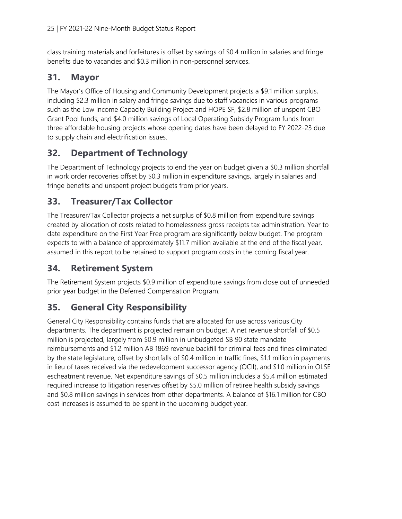class training materials and forfeitures is offset by savings of \$0.4 million in salaries and fringe benefits due to vacancies and \$0.3 million in non-personnel services.

#### **31. Mayor**

The Mayor's Office of Housing and Community Development projects a \$9.1 million surplus, including \$2.3 million in salary and fringe savings due to staff vacancies in various programs such as the Low Income Capacity Building Project and HOPE SF, \$2.8 million of unspent CBO Grant Pool funds, and \$4.0 million savings of Local Operating Subsidy Program funds from three affordable housing projects whose opening dates have been delayed to FY 2022-23 due to supply chain and electrification issues.

#### **32. Department of Technology**

The Department of Technology projects to end the year on budget given a \$0.3 million shortfall in work order recoveries offset by \$0.3 million in expenditure savings, largely in salaries and fringe benefits and unspent project budgets from prior years.

#### **33. Treasurer/Tax Collector**

The Treasurer/Tax Collector projects a net surplus of \$0.8 million from expenditure savings created by allocation of costs related to homelessness gross receipts tax administration. Year to date expenditure on the First Year Free program are significantly below budget. The program expects to with a balance of approximately \$11.7 million available at the end of the fiscal year, assumed in this report to be retained to support program costs in the coming fiscal year.

#### **34. Retirement System**

The Retirement System projects \$0.9 million of expenditure savings from close out of unneeded prior year budget in the Deferred Compensation Program.

### **35. General City Responsibility**

General City Responsibility contains funds that are allocated for use across various City departments. The department is projected remain on budget. A net revenue shortfall of \$0.5 million is projected, largely from \$0.9 million in unbudgeted SB 90 state mandate reimbursements and \$1.2 million AB 1869 revenue backfill for criminal fees and fines eliminated by the state legislature, offset by shortfalls of \$0.4 million in traffic fines, \$1.1 million in payments in lieu of taxes received via the redevelopment successor agency (OCII), and \$1.0 million in OLSE escheatment revenue. Net expenditure savings of \$0.5 million includes a \$5.4 million estimated required increase to litigation reserves offset by \$5.0 million of retiree health subsidy savings and \$0.8 million savings in services from other departments. A balance of \$16.1 million for CBO cost increases is assumed to be spent in the upcoming budget year.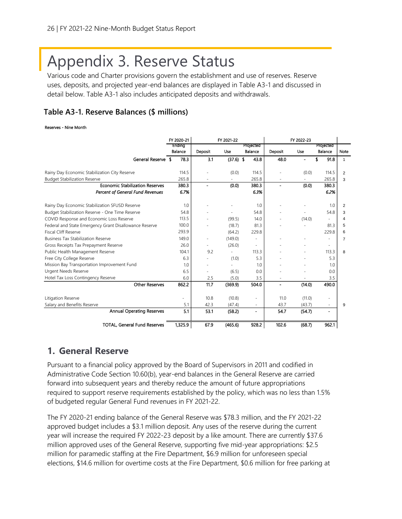# Appendix 3. Reserve Status

Various code and Charter provisions govern the establishment and use of reserves. Reserve uses, deposits, and projected year-end balances are displayed in Table A3-1 and discussed in detail below. Table A3-1 also includes anticipated deposits and withdrawals.

#### **Table A3-1. Reserve Balances (\$ millions)**

#### Reserves - Nine Month

|                                                        | FY 2020-21 |                          | FY 2021-22  |                          |         | FY 2022-23 |                          |                |
|--------------------------------------------------------|------------|--------------------------|-------------|--------------------------|---------|------------|--------------------------|----------------|
|                                                        | Ending     |                          |             | Projected                |         |            | Projected                |                |
|                                                        | Balance    | Deposit                  | Use         | Balance                  | Deposit | Use        | Balance                  | Note           |
| General Reserve \$                                     | 78.3       | 3.1                      | $(37.6)$ \$ | 43.8                     | 48.0    |            | \$.<br>91.8              | $\mathbf{1}$   |
| Rainy Day Economic Stabilization City Reserve          | 114.5      |                          | (0.0)       | 114.5                    |         | (0.0)      | 114.5                    | 2              |
| <b>Budget Stabilization Reserve</b>                    | 265.8      | $\overline{a}$           | $\sim$      | 265.8                    |         |            | 265.8                    | 3              |
| <b>Economic Stabilization Reserves</b>                 | 380.3      | $\blacksquare$           | (0,0)       | 380.3                    |         | (0.0)      | 380.3                    |                |
| <b>Percent of General Fund Revenues</b>                | 6.7%       |                          |             | 6.3%                     |         |            | 6.2%                     |                |
|                                                        |            |                          |             |                          |         |            |                          |                |
| Rainy Day Economic Stabilization SFUSD Reserve         | 1.0        |                          |             | 1.0                      |         |            | 1.0                      | 2              |
| Budget Stabilization Reserve - One Time Reserve        | 54.8       |                          |             | 54.8                     |         |            | 54.8                     | 3              |
| COVID Response and Economic Loss Reserve               | 113.5      |                          | (99.5)      | 14.0                     |         | (14.0)     |                          | $\overline{4}$ |
| Federal and State Emergency Grant Disallowance Reserve | 100.0      |                          | (18.7)      | 81.3                     |         |            | 81.3                     | 5              |
| <b>Fiscal Cliff Reserve</b>                            | 293.9      |                          | (64.2)      | 229.8                    |         |            | 229.8                    | 6              |
| <b>Business Tax Stabilization Reserve</b>              | 149.0      | $\overline{\phantom{a}}$ | (149.0)     | ÷,                       |         |            |                          | $\overline{7}$ |
| Gross Receipts Tax Prepayment Reserve                  | 26.0       |                          | (26.0)      | $\overline{\phantom{a}}$ |         |            | $\overline{\phantom{a}}$ |                |
| Public Health Management Reserve                       | 104.1      | 9.2                      |             | 113.3                    |         |            | 113.3                    | 8              |
| Free City College Reserve                              | 6.3        |                          | (1.0)       | 5.3                      |         |            | 5.3                      |                |
| Mission Bay Transportation Improvement Fund            | 1.0        | $\overline{\phantom{a}}$ |             | 1.0                      |         |            | 1.0                      |                |
| <b>Urgent Needs Reserve</b>                            | 6.5        |                          | (6.5)       | 0.0                      |         |            | 0.0                      |                |
| Hotel Tax Loss Contingency Reserve                     | 6.0        | 2.5                      | (5.0)       | 3.5                      |         |            | 3.5                      |                |
| <b>Other Reserves</b>                                  | 862.2      | 11.7                     | (369.9)     | 504.0                    |         | (14.0)     | 490.0                    |                |
| Litigation Reserve                                     |            | 10.8                     | (10.8)      | ÷.                       | 11.0    | (11.0)     | $\overline{\phantom{a}}$ |                |
| Salary and Benefits Reserve                            | 5.1        | 42.3                     | (47.4)      | ٠                        | 43.7    | (43.7)     | $\overline{\phantom{a}}$ | 9              |
| <b>Annual Operating Reserves</b>                       | 5.1        | 53.1                     | (58.2)      | -                        | 54.7    | (54.7)     | $\blacksquare$           |                |
| <b>TOTAL, General Fund Reserves</b>                    | 1.325.9    | 67.9                     | (465.6)     | 928.2                    | 102.6   | (68.7)     | 962.1                    |                |

#### **1. General Reserve**

Pursuant to a financial policy approved by the Board of Supervisors in 2011 and codified in Administrative Code Section 10.60(b), year-end balances in the General Reserve are carried forward into subsequent years and thereby reduce the amount of future appropriations required to support reserve requirements established by the policy, which was no less than 1.5% of budgeted regular General Fund revenues in FY 2021-22.

The FY 2020-21 ending balance of the General Reserve was \$78.3 million, and the FY 2021-22 approved budget includes a \$3.1 million deposit. Any uses of the reserve during the current year will increase the required FY 2022-23 deposit by a like amount. There are currently \$37.6 million approved uses of the General Reserve, supporting five mid-year appropriations: \$2.5 million for paramedic staffing at the Fire Department, \$6.9 million for unforeseen special elections, \$14.6 million for overtime costs at the Fire Department, \$0.6 million for free parking at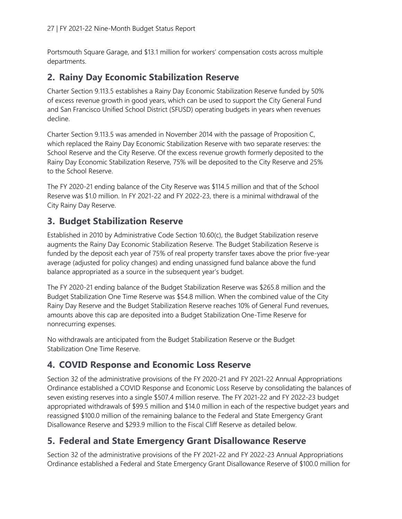Portsmouth Square Garage, and \$13.1 million for workers' compensation costs across multiple departments.

#### **2. Rainy Day Economic Stabilization Reserve**

Charter Section 9.113.5 establishes a Rainy Day Economic Stabilization Reserve funded by 50% of excess revenue growth in good years, which can be used to support the City General Fund and San Francisco Unified School District (SFUSD) operating budgets in years when revenues decline.

Charter Section 9.113.5 was amended in November 2014 with the passage of Proposition C, which replaced the Rainy Day Economic Stabilization Reserve with two separate reserves: the School Reserve and the City Reserve. Of the excess revenue growth formerly deposited to the Rainy Day Economic Stabilization Reserve, 75% will be deposited to the City Reserve and 25% to the School Reserve.

The FY 2020-21 ending balance of the City Reserve was \$114.5 million and that of the School Reserve was \$1.0 million. In FY 2021-22 and FY 2022-23, there is a minimal withdrawal of the City Rainy Day Reserve.

#### **3. Budget Stabilization Reserve**

Established in 2010 by Administrative Code Section 10.60(c), the Budget Stabilization reserve augments the Rainy Day Economic Stabilization Reserve. The Budget Stabilization Reserve is funded by the deposit each year of 75% of real property transfer taxes above the prior five-year average (adjusted for policy changes) and ending unassigned fund balance above the fund balance appropriated as a source in the subsequent year's budget.

The FY 2020-21 ending balance of the Budget Stabilization Reserve was \$265.8 million and the Budget Stabilization One Time Reserve was \$54.8 million. When the combined value of the City Rainy Day Reserve and the Budget Stabilization Reserve reaches 10% of General Fund revenues, amounts above this cap are deposited into a Budget Stabilization One-Time Reserve for nonrecurring expenses.

No withdrawals are anticipated from the Budget Stabilization Reserve or the Budget Stabilization One Time Reserve.

#### **4. COVID Response and Economic Loss Reserve**

Section 32 of the administrative provisions of the FY 2020-21 and FY 2021-22 Annual Appropriations Ordinance established a COVID Response and Economic Loss Reserve by consolidating the balances of seven existing reserves into a single \$507.4 million reserve. The FY 2021-22 and FY 2022-23 budget appropriated withdrawals of \$99.5 million and \$14.0 million in each of the respective budget years and reassigned \$100.0 million of the remaining balance to the Federal and State Emergency Grant Disallowance Reserve and \$293.9 million to the Fiscal Cliff Reserve as detailed below.

### **5. Federal and State Emergency Grant Disallowance Reserve**

Section 32 of the administrative provisions of the FY 2021-22 and FY 2022-23 Annual Appropriations Ordinance established a Federal and State Emergency Grant Disallowance Reserve of \$100.0 million for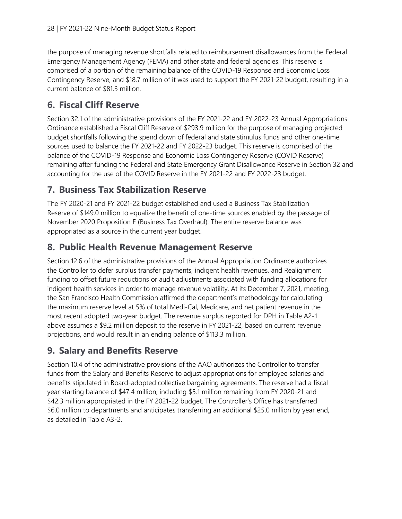the purpose of managing revenue shortfalls related to reimbursement disallowances from the Federal Emergency Management Agency (FEMA) and other state and federal agencies. This reserve is comprised of a portion of the remaining balance of the COVID-19 Response and Economic Loss Contingency Reserve, and \$18.7 million of it was used to support the FY 2021-22 budget, resulting in a current balance of \$81.3 million.

#### **6. Fiscal Cliff Reserve**

Section 32.1 of the administrative provisions of the FY 2021-22 and FY 2022-23 Annual Appropriations Ordinance established a Fiscal Cliff Reserve of \$293.9 million for the purpose of managing projected budget shortfalls following the spend down of federal and state stimulus funds and other one-time sources used to balance the FY 2021-22 and FY 2022-23 budget. This reserve is comprised of the balance of the COVID-19 Response and Economic Loss Contingency Reserve (COVID Reserve) remaining after funding the Federal and State Emergency Grant Disallowance Reserve in Section 32 and accounting for the use of the COVID Reserve in the FY 2021-22 and FY 2022-23 budget.

### **7. Business Tax Stabilization Reserve**

The FY 2020-21 and FY 2021-22 budget established and used a Business Tax Stabilization Reserve of \$149.0 million to equalize the benefit of one-time sources enabled by the passage of November 2020 Proposition F (Business Tax Overhaul). The entire reserve balance was appropriated as a source in the current year budget.

#### **8. Public Health Revenue Management Reserve**

Section 12.6 of the administrative provisions of the Annual Appropriation Ordinance authorizes the Controller to defer surplus transfer payments, indigent health revenues, and Realignment funding to offset future reductions or audit adjustments associated with funding allocations for indigent health services in order to manage revenue volatility. At its December 7, 2021, meeting, the San Francisco Health Commission affirmed the department's methodology for calculating the maximum reserve level at 5% of total Medi-Cal, Medicare, and net patient revenue in the most recent adopted two-year budget. The revenue surplus reported for DPH in Table A2-1 above assumes a \$9.2 million deposit to the reserve in FY 2021-22, based on current revenue projections, and would result in an ending balance of \$113.3 million.

#### **9. Salary and Benefits Reserve**

Section 10.4 of the administrative provisions of the AAO authorizes the Controller to transfer funds from the Salary and Benefits Reserve to adjust appropriations for employee salaries and benefits stipulated in Board-adopted collective bargaining agreements. The reserve had a fiscal year starting balance of \$47.4 million, including \$5.1 million remaining from FY 2020-21 and \$42.3 million appropriated in the FY 2021-22 budget. The Controller's Office has transferred \$6.0 million to departments and anticipates transferring an additional \$25.0 million by year end, as detailed in Table A3-2.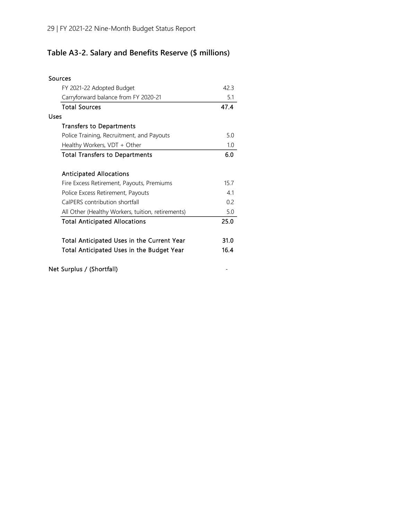### **Table A3-2. Salary and Benefits Reserve (\$ millions)**

| Sources                                           |      |
|---------------------------------------------------|------|
| FY 2021-22 Adopted Budget                         | 42.3 |
| Carryforward balance from FY 2020-21              | 5.1  |
| <b>Total Sources</b>                              | 47.4 |
| Uses                                              |      |
| <b>Transfers to Departments</b>                   |      |
| Police Training, Recruitment, and Payouts         | 5.0  |
| Healthy Workers, VDT + Other                      | 1.0  |
| <b>Total Transfers to Departments</b>             | 6.0  |
|                                                   |      |
| <b>Anticipated Allocations</b>                    |      |
| Fire Excess Retirement, Payouts, Premiums         | 15.7 |
| Police Excess Retirement, Payouts                 | 41   |
| CalPERS contribution shortfall                    | 0.2  |
| All Other (Healthy Workers, tuition, retirements) | 5.0  |
| <b>Total Anticipated Allocations</b>              | 25.0 |
|                                                   |      |
| Total Anticipated Uses in the Current Year        | 31.0 |
| Total Anticipated Uses in the Budget Year         | 16.4 |
|                                                   |      |
| Net Surplus / (Shortfall)                         |      |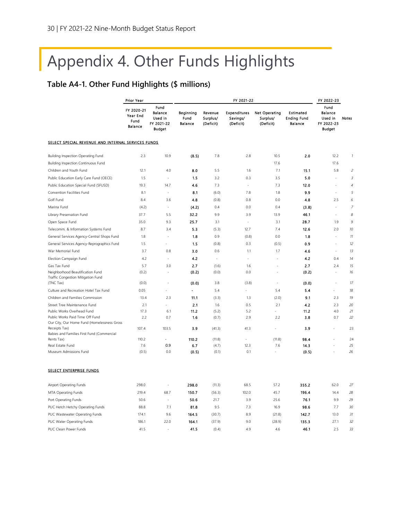# Appendix 4. Other Funds Highlights

#### **Table A4-1. Other Fund Highlights (\$ millions)**

|                                                                                                 | <b>Prior Year</b>                                |                                                           | FY 2021-22                          |                                  |                                              |                                               |                                                   | FY 2022-23                                                |                          |
|-------------------------------------------------------------------------------------------------|--------------------------------------------------|-----------------------------------------------------------|-------------------------------------|----------------------------------|----------------------------------------------|-----------------------------------------------|---------------------------------------------------|-----------------------------------------------------------|--------------------------|
|                                                                                                 | FY 2020-21<br>Year End<br>Fund<br><b>Balance</b> | Fund<br><b>Balance</b><br>Used in<br>FY 2021-22<br>Budget | Beginning<br>Fund<br><b>Balance</b> | Revenue<br>Surplus/<br>(Deficit) | <b>Expenditures</b><br>Savings/<br>(Deficit) | <b>Net Operating</b><br>Surplus/<br>(Deficit) | Estimated<br><b>Ending Fund</b><br><b>Balance</b> | Fund<br><b>Balance</b><br>Used in<br>FY 2022-23<br>Budget | <b>Notes</b>             |
| SELECT SPECIAL REVENUE AND INTERNAL SERVICES FUNDS                                              |                                                  |                                                           |                                     |                                  |                                              |                                               |                                                   |                                                           |                          |
| Building Inspection Operating Fund                                                              | 2.3                                              | 10.9                                                      | (8.5)                               | 7.8                              | 2.8                                          | 10.5                                          | 2.0                                               | 12.2                                                      | $\bar{1}$                |
| <b>Building Inspection Continuous Fund</b>                                                      |                                                  |                                                           |                                     |                                  |                                              | 17.6                                          |                                                   | 17.6                                                      |                          |
| Children and Youth Fund                                                                         | 12.1                                             | 4.0                                                       | 8.0                                 | 5.5                              | 1.6                                          | 7.1                                           | 15.1                                              | 5.8                                                       | $\overline{c}$           |
| Public Education Early Care Fund (OECE)                                                         | 1.5                                              | ÷,                                                        | 1.5                                 | 3.2                              | 0.3                                          | 3.5                                           | 5.0                                               | $\bar{\phantom{a}}$                                       | $\overline{3}$           |
| Public Education Special Fund (SFUSD)                                                           | 19.3                                             | 14.7                                                      | 4.6                                 | 7.3                              | ÷,                                           | 7.3                                           | 12.0                                              | J.                                                        | $\overline{\mathcal{L}}$ |
| Convention Facilities Fund                                                                      | 8.1                                              | $\overline{\phantom{a}}$                                  | 8.1                                 | (6.0)                            | 7.8                                          | 1.8                                           | 9.9                                               | $\sim$                                                    | 5                        |
| Golf Fund                                                                                       | 8.4                                              | 3.6                                                       | 4.8                                 | (0.8)                            | 0.8                                          | 0.0                                           | 4.8                                               | 2.5                                                       | 6                        |
| Marina Fund                                                                                     | (4.2)                                            | ÷,                                                        | (4.2)                               | 0.4                              | 0.0                                          | 0.4                                           | (3.8)                                             | ÷,                                                        | $\overline{7}$           |
|                                                                                                 | 37.7                                             | 5.5                                                       | 32.2                                | 9.9                              | 3.9                                          | 13.9                                          | 46.1                                              | ä,                                                        | 8                        |
| Library Preservation Fund                                                                       | 35.0                                             | 9.3                                                       | 25.7                                |                                  | $\bar{a}$                                    |                                               |                                                   | 1.9                                                       | 9                        |
| Open Space Fund                                                                                 |                                                  |                                                           |                                     | 3.1                              |                                              | 3.1                                           | 28.7                                              |                                                           |                          |
| Telecomm. & Information Systems Fund                                                            | 8.7                                              | 3.4                                                       | 5.3                                 | (5.3)                            | 12.7                                         | 7.4                                           | 12.6                                              | 2.0                                                       | 10                       |
| General Services Agency-Central Shops Fund                                                      | 1.8                                              | ÷,                                                        | 1.8                                 | 0.9                              | (0.8)                                        | 0.0                                           | 1.8                                               | ÷,                                                        | 11                       |
| General Services Agency-Reprographics Fund                                                      | 1.5                                              |                                                           | 1.5                                 | (0.8)                            | 0.3                                          | (0.5)                                         | 0.9                                               | $\overline{\phantom{a}}$                                  | 12                       |
| War Memorial Fund                                                                               | 3.7                                              | 0.8                                                       | 3.0                                 | 0.6                              | 1.1                                          | 1.7                                           | 4.6                                               | $\bar{a}$                                                 | 13                       |
| Election Campaign Fund                                                                          | 4.2                                              | ÷,                                                        | 4.2                                 | ٠                                | $\sim$                                       |                                               | 4.2                                               | 0.4                                                       | 14                       |
| Gas Tax Fund                                                                                    | 5.7                                              | 3.0                                                       | 2.7                                 | (1.6)                            | 1.6                                          |                                               | 2.7                                               | 2.4                                                       | 15                       |
| Neighborhood Beautification Fund<br>Traffic Congestion Mitigation Fund                          | (0.2)                                            | ÷,                                                        | (0.2)                               | (0.0)                            | 0.0                                          | L,                                            | (0.2)                                             | ÷,                                                        | 16                       |
| (TNC Tax)                                                                                       | (0.0)                                            |                                                           | (0.0)                               | 3.8                              | (3.8)                                        | ä,                                            | (0.0)                                             | ÷,                                                        | 17                       |
| Culture and Recreation Hotel Tax Fund                                                           | 0.05                                             | ä,                                                        | L.                                  | 5.4                              |                                              | 5.4                                           | 5.4                                               | ä,                                                        | 18                       |
| Children and Families Commission                                                                | 13.4                                             | 2.3                                                       | 11.1                                | (3.3)                            | 1.3                                          | (2.0)                                         | 9.1                                               | 2.3                                                       | 19                       |
| Street Tree Maintenance Fund                                                                    | 2.1                                              | ä,                                                        | 2.1                                 | 1.6                              | 0.5                                          | 2.1                                           | 4.2                                               | 2.3                                                       | 20                       |
| Public Works Overhead Fund                                                                      | 17.3                                             | 6.1                                                       | 11.2                                | (5.2)                            | 5.2                                          |                                               | 11.2                                              | 4.0                                                       | 21                       |
| Public Works Paid Time Off Fund<br>Our City, Our Home Fund (Homelessness Gross<br>Receipts Tax) | 2.2<br>107.4                                     | 0.7<br>103.5                                              | 1.6<br>3.9                          | (0.7)<br>(41.3)                  | 2.9<br>41.3                                  | 2.2<br>÷,                                     | 3.8<br>3.9                                        | 0.7<br>i,                                                 | 22<br>23                 |
| Babies and Families First Fund (Commercial                                                      |                                                  |                                                           |                                     |                                  |                                              |                                               |                                                   |                                                           |                          |
| Rents Tax)                                                                                      | 110.2                                            | $\sim$                                                    | 110.2                               | (11.8)                           | ÷                                            | (11.8)                                        | 98.4                                              | L,                                                        | 24                       |
| Real Estate Fund                                                                                | 7.6                                              | 0.9                                                       | 6.7                                 | (4.7)                            | 12.3                                         | 7.6                                           | 14.3                                              |                                                           | 25                       |
| Museum Admissions Fund                                                                          | (0.5)                                            | 0.0                                                       | (0.5)                               | (0.1)                            | 0.1                                          |                                               | (0.5)                                             | L.                                                        | 26                       |
| <b>SELECT ENTERPRISE FUNDS</b>                                                                  |                                                  |                                                           |                                     |                                  |                                              |                                               |                                                   |                                                           |                          |
| Airport Operating Funds                                                                         | 298.0                                            | ÷,                                                        | 298.0                               | (11.3)                           | 68.5                                         | 57.2                                          | 355.2                                             | 62.0                                                      | 27                       |
| MTA Operating Funds                                                                             | 219.4                                            | 68.7                                                      | 150.7                               | (56.3)                           | 102.0                                        | 45.7                                          | 196.4                                             | 14.4                                                      | 28                       |
| Port Operating Funds                                                                            | 50.6                                             | ÷,                                                        | 50.6                                | 21.7                             | 3.9                                          | 25.6                                          | 76.1                                              | 9.9                                                       | 29                       |
| PUC Hetch Hetchy Operating Funds                                                                | 88.8                                             | 7.1                                                       | 81.8                                | 9.5                              | 7.3                                          | 16.9                                          | 98.6                                              | 7.7                                                       | 30                       |
| PUC Wastewater Operating Funds                                                                  | 174.1                                            | 9.6                                                       | 164.5                               | (30.7)                           | 8.9                                          | (21.8)                                        | 142.7                                             | 13.0                                                      | 31                       |
| PUC Water Operating Funds                                                                       | 186.1                                            | 22.0                                                      | 164.1                               | (37.9)                           | 9.0                                          | (28.9)                                        | 135.3                                             | 27.1                                                      | 32                       |
| PUC Clean Power Funds                                                                           | 41.5                                             | $\sim$                                                    | 41.5                                | (0.4)                            | 4.9                                          | 4.6                                           | 46.1                                              | 2.5                                                       | 33                       |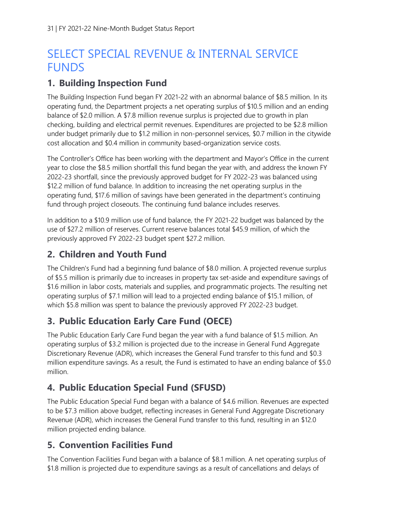## SELECT SPECIAL REVENUE & INTERNAL SERVICE **FUNDS**

#### **1. Building Inspection Fund**

The Building Inspection Fund began FY 2021-22 with an abnormal balance of \$8.5 million. In its operating fund, the Department projects a net operating surplus of \$10.5 million and an ending balance of \$2.0 million. A \$7.8 million revenue surplus is projected due to growth in plan checking, building and electrical permit revenues. Expenditures are projected to be \$2.8 million under budget primarily due to \$1.2 million in non-personnel services, \$0.7 million in the citywide cost allocation and \$0.4 million in community based-organization service costs.

The Controller's Office has been working with the department and Mayor's Office in the current year to close the \$8.5 million shortfall this fund began the year with, and address the known FY 2022-23 shortfall, since the previously approved budget for FY 2022-23 was balanced using \$12.2 million of fund balance. In addition to increasing the net operating surplus in the operating fund, \$17.6 million of savings have been generated in the department's continuing fund through project closeouts. The continuing fund balance includes reserves.

In addition to a \$10.9 million use of fund balance, the FY 2021-22 budget was balanced by the use of \$27.2 million of reserves. Current reserve balances total \$45.9 million, of which the previously approved FY 2022-23 budget spent \$27.2 million.

#### **2. Children and Youth Fund**

The Children's Fund had a beginning fund balance of \$8.0 million. A projected revenue surplus of \$5.5 million is primarily due to increases in property tax set-aside and expenditure savings of \$1.6 million in labor costs, materials and supplies, and programmatic projects. The resulting net operating surplus of \$7.1 million will lead to a projected ending balance of \$15.1 million, of which \$5.8 million was spent to balance the previously approved FY 2022-23 budget.

### **3. Public Education Early Care Fund (OECE)**

The Public Education Early Care Fund began the year with a fund balance of \$1.5 million. An operating surplus of \$3.2 million is projected due to the increase in General Fund Aggregate Discretionary Revenue (ADR), which increases the General Fund transfer to this fund and \$0.3 million expenditure savings. As a result, the Fund is estimated to have an ending balance of \$5.0 million.

#### **4. Public Education Special Fund (SFUSD)**

The Public Education Special Fund began with a balance of \$4.6 million. Revenues are expected to be \$7.3 million above budget, reflecting increases in General Fund Aggregate Discretionary Revenue (ADR), which increases the General Fund transfer to this fund, resulting in an \$12.0 million projected ending balance.

### **5. Convention Facilities Fund**

The Convention Facilities Fund began with a balance of \$8.1 million. A net operating surplus of \$1.8 million is projected due to expenditure savings as a result of cancellations and delays of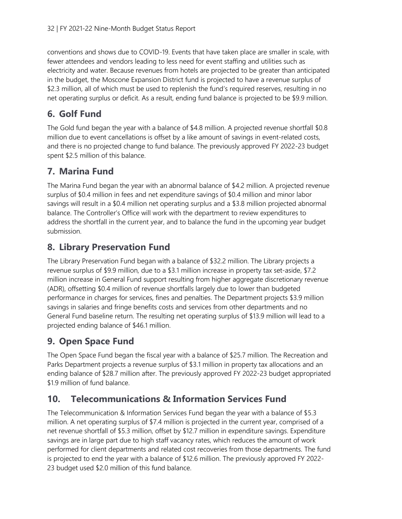conventions and shows due to COVID-19. Events that have taken place are smaller in scale, with fewer attendees and vendors leading to less need for event staffing and utilities such as electricity and water. Because revenues from hotels are projected to be greater than anticipated in the budget, the Moscone Expansion District fund is projected to have a revenue surplus of \$2.3 million, all of which must be used to replenish the fund's required reserves, resulting in no net operating surplus or deficit. As a result, ending fund balance is projected to be \$9.9 million.

#### **6. Golf Fund**

The Gold fund began the year with a balance of \$4.8 million. A projected revenue shortfall \$0.8 million due to event cancellations is offset by a like amount of savings in event-related costs, and there is no projected change to fund balance. The previously approved FY 2022-23 budget spent \$2.5 million of this balance.

#### **7. Marina Fund**

The Marina Fund began the year with an abnormal balance of \$4.2 million. A projected revenue surplus of \$0.4 million in fees and net expenditure savings of \$0.4 million and minor labor savings will result in a \$0.4 million net operating surplus and a \$3.8 million projected abnormal balance. The Controller's Office will work with the department to review expenditures to address the shortfall in the current year, and to balance the fund in the upcoming year budget submission.

#### **8. Library Preservation Fund**

The Library Preservation Fund began with a balance of \$32.2 million. The Library projects a revenue surplus of \$9.9 million, due to a \$3.1 million increase in property tax set-aside, \$7.2 million increase in General Fund support resulting from higher aggregate discretionary revenue (ADR), offsetting \$0.4 million of revenue shortfalls largely due to lower than budgeted performance in charges for services, fines and penalties. The Department projects \$3.9 million savings in salaries and fringe benefits costs and services from other departments and no General Fund baseline return. The resulting net operating surplus of \$13.9 million will lead to a projected ending balance of \$46.1 million.

### **9. Open Space Fund**

The Open Space Fund began the fiscal year with a balance of \$25.7 million. The Recreation and Parks Department projects a revenue surplus of \$3.1 million in property tax allocations and an ending balance of \$28.7 million after. The previously approved FY 2022-23 budget appropriated \$1.9 million of fund balance.

#### **10. Telecommunications & Information Services Fund**

The Telecommunication & Information Services Fund began the year with a balance of \$5.3 million. A net operating surplus of \$7.4 million is projected in the current year, comprised of a net revenue shortfall of \$5.3 million, offset by \$12.7 million in expenditure savings. Expenditure savings are in large part due to high staff vacancy rates, which reduces the amount of work performed for client departments and related cost recoveries from those departments. The fund is projected to end the year with a balance of \$12.6 million. The previously approved FY 2022- 23 budget used \$2.0 million of this fund balance.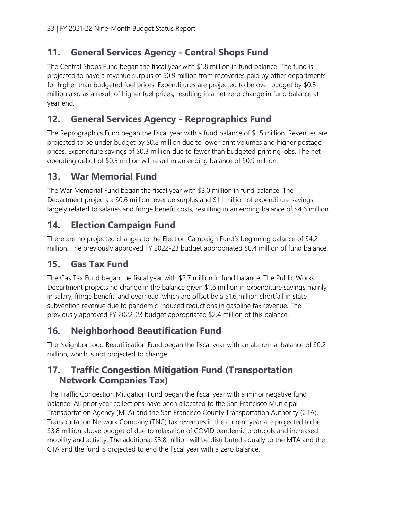#### **11. General Services Agency - Central Shops Fund**

The Central Shops Fund began the fiscal year with \$1.8 million in fund balance. The fund is projected to have a revenue surplus of \$0.9 million from recoveries paid by other departments for higher than budgeted fuel prices. Expenditures are projected to be over budget by \$0.8 million also as a result of higher fuel prices, resulting in a net zero change in fund balance at year end.

#### **12. General Services Agency - Reprographics Fund**

The Reprographics Fund began the fiscal year with a fund balance of \$1.5 million. Revenues are projected to be under budget by \$0.8 million due to lower print volumes and higher postage prices. Expenditure savings of \$0.3 million due to fewer than budgeted printing jobs. The net operating deficit of \$0.5 million will result in an ending balance of \$0.9 million.

#### **13. War Memorial Fund**

The War Memorial Fund began the fiscal year with \$3.0 million in fund balance. The Department projects a \$0.6 million revenue surplus and \$1.1 million of expenditure savings largely related to salaries and fringe benefit costs, resulting in an ending balance of \$4.6 million.

#### **14. Election Campaign Fund**

There are no projected changes to the Election Campaign Fund's beginning balance of \$4.2 million. The previously approved FY 2022-23 budget appropriated \$0.4 million of fund balance.

#### **15. Gas Tax Fund**

The Gas Tax Fund began the fiscal year with \$2.7 million in fund balance. The Public Works Department projects no change in the balance given \$1.6 million in expenditure savings mainly in salary, fringe benefit, and overhead, which are offset by a \$1.6 million shortfall in state subvention revenue due to pandemic-induced reductions in gasoline tax revenue. The previously approved FY 2022-23 budget appropriated \$2.4 million of this balance.

#### **16. Neighborhood Beautification Fund**

The Neighborhood Beautification Fund began the fiscal year with an abnormal balance of \$0.2 million, which is not projected to change.

#### **17. Traffic Congestion Mitigation Fund (Transportation Network Companies Tax)**

The Traffic Congestion Mitigation Fund began the fiscal year with a minor negative fund balance. All prior year collections have been allocated to the San Francisco Municipal Transportation Agency (MTA) and the San Francisco County Transportation Authority (CTA). Transportation Network Company (TNC) tax revenues in the current year are projected to be \$3.8 million above budget of due to relaxation of COVID pandemic protocols and increased mobility and activity. The additional \$3.8 million will be distributed equally to the MTA and the CTA and the fund is projected to end the fiscal year with a zero balance.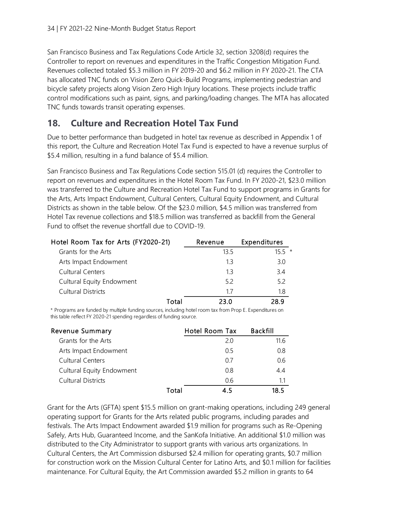San Francisco Business and Tax Regulations Code Article 32, section 3208(d) requires the Controller to report on revenues and expenditures in the Traffic Congestion Mitigation Fund. Revenues collected totaled \$5.3 million in FY 2019-20 and \$6.2 million in FY 2020-21. The CTA has allocated TNC funds on Vision Zero Quick-Build Programs, implementing pedestrian and bicycle safety projects along Vision Zero High Injury locations. These projects include traffic control modifications such as paint, signs, and parking/loading changes. The MTA has allocated TNC funds towards transit operating expenses.

#### **18. Culture and Recreation Hotel Tax Fund**

Due to better performance than budgeted in hotel tax revenue as described in Appendix 1 of this report, the Culture and Recreation Hotel Tax Fund is expected to have a revenue surplus of \$5.4 million, resulting in a fund balance of \$5.4 million.

San Francisco Business and Tax Regulations Code section 515.01 (d) requires the Controller to report on revenues and expenditures in the Hotel Room Tax Fund. In FY 2020-21, \$23.0 million was transferred to the Culture and Recreation Hotel Tax Fund to support programs in Grants for the Arts, Arts Impact Endowment, Cultural Centers, Cultural Equity Endowment, and Cultural Districts as shown in the table below. Of the \$23.0 million, \$4.5 million was transferred from Hotel Tax revenue collections and \$18.5 million was transferred as backfill from the General Fund to offset the revenue shortfall due to COVID-19.

| Hotel Room Tax for Arts (FY2020-21) | Revenue | Expenditures |
|-------------------------------------|---------|--------------|
| Grants for the Arts                 | 13.5    | $155 *$      |
| Arts Impact Endowment               | 1.3     | 3.0          |
| <b>Cultural Centers</b>             | 13      | 34           |
| Cultural Equity Endowment           | 5.2     | 5.2          |
| <b>Cultural Districts</b>           | 17      | 1.8          |
| Total                               | 23 O    | 28 9         |

\* Programs are funded by multiple funding sources, including hotel room tax from Prop E. Expenditures on this table reflect FY 2020-21 spending regardless of funding source.

| <b>Revenue Summary</b>    |       | Hotel Room Tax | <b>Backfill</b> |
|---------------------------|-------|----------------|-----------------|
| Grants for the Arts       |       | 20             | 11.6            |
| Arts Impact Endowment     |       | 0.5            | 0.8             |
| Cultural Centers          |       | 07             | 06              |
| Cultural Equity Endowment |       | 0.8            | 44              |
| Cultural Districts        |       | 06             | 1.1             |
|                           | Total | 4 5            | 18 5            |

Grant for the Arts (GFTA) spent \$15.5 million on grant-making operations, including 249 general operating support for Grants for the Arts related public programs, including parades and festivals. The Arts Impact Endowment awarded \$1.9 million for programs such as Re-Opening Safely, Arts Hub, Guaranteed Income, and the SanKofa Initiative. An additional \$1.0 million was distributed to the City Administrator to support grants with various arts organizations. In Cultural Centers, the Art Commission disbursed \$2.4 million for operating grants, \$0.7 million for construction work on the Mission Cultural Center for Latino Arts, and \$0.1 million for facilities Hotel Room Tax for Arts (FY2020-21) Revenue Expenditures<br>
Grants for the Arts<br>
Arts Impact Endowment<br>
13.3 3.0<br>
Cultural Centers<br>
13.3 3.4<br>
Cultural Centers<br>
13.3 3.4<br>
Cultural Districts<br>
17.1.8<br>
17.1.1.8<br>
17.1.1.8<br>
17.1.1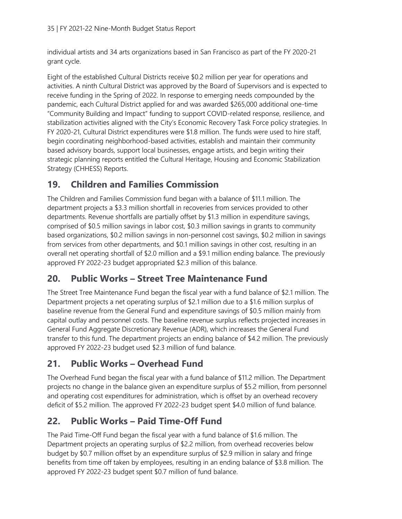individual artists and 34 arts organizations based in San Francisco as part of the FY 2020-21 grant cycle.

Eight of the established Cultural Districts receive \$0.2 million per year for operations and activities. A ninth Cultural District was approved by the Board of Supervisors and is expected to receive funding in the Spring of 2022. In response to emerging needs compounded by the pandemic, each Cultural District applied for and was awarded \$265,000 additional one-time "Community Building and Impact" funding to support COVID-related response, resilience, and stabilization activities aligned with the City's Economic Recovery Task Force policy strategies. In FY 2020-21, Cultural District expenditures were \$1.8 million. The funds were used to hire staff, begin coordinating neighborhood-based activities, establish and maintain their community based advisory boards, support local businesses, engage artists, and begin writing their strategic planning reports entitled the Cultural Heritage, Housing and Economic Stabilization Strategy (CHHESS) Reports.

#### **19. Children and Families Commission**

The Children and Families Commission fund began with a balance of \$11.1 million. The department projects a \$3.3 million shortfall in recoveries from services provided to other departments. Revenue shortfalls are partially offset by \$1.3 million in expenditure savings, comprised of \$0.5 million savings in labor cost, \$0.3 million savings in grants to community based organizations, \$0.2 million savings in non-personnel cost savings, \$0.2 million in savings from services from other departments, and \$0.1 million savings in other cost, resulting in an overall net operating shortfall of \$2.0 million and a \$9.1 million ending balance. The previously approved FY 2022-23 budget appropriated \$2.3 million of this balance.

#### **20. Public Works – Street Tree Maintenance Fund**

The Street Tree Maintenance Fund began the fiscal year with a fund balance of \$2.1 million. The Department projects a net operating surplus of \$2.1 million due to a \$1.6 million surplus of baseline revenue from the General Fund and expenditure savings of \$0.5 million mainly from capital outlay and personnel costs. The baseline revenue surplus reflects projected increases in General Fund Aggregate Discretionary Revenue (ADR), which increases the General Fund transfer to this fund. The department projects an ending balance of \$4.2 million. The previously approved FY 2022-23 budget used \$2.3 million of fund balance.

### **21. Public Works – Overhead Fund**

The Overhead Fund began the fiscal year with a fund balance of \$11.2 million. The Department projects no change in the balance given an expenditure surplus of \$5.2 million, from personnel and operating cost expenditures for administration, which is offset by an overhead recovery deficit of \$5.2 million. The approved FY 2022-23 budget spent \$4.0 million of fund balance.

### **22. Public Works – Paid Time-Off Fund**

The Paid Time-Off Fund began the fiscal year with a fund balance of \$1.6 million. The Department projects an operating surplus of \$2.2 million, from overhead recoveries below budget by \$0.7 million offset by an expenditure surplus of \$2.9 million in salary and fringe benefits from time off taken by employees, resulting in an ending balance of \$3.8 million. The approved FY 2022-23 budget spent \$0.7 million of fund balance.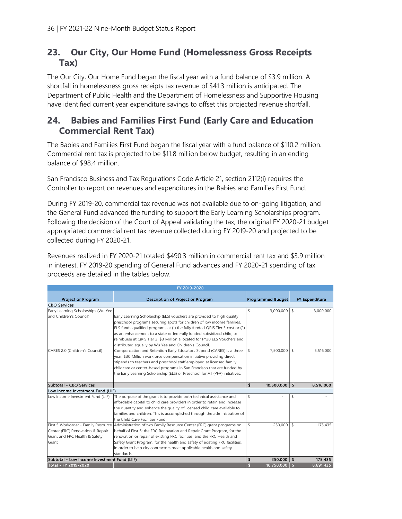#### **23. Our City, Our Home Fund (Homelessness Gross Receipts Tax)**

The Our City, Our Home Fund began the fiscal year with a fund balance of \$3.9 million. A shortfall in homelessness gross receipts tax revenue of \$41.3 million is anticipated. The Department of Public Health and the Department of Homelessness and Supportive Housing have identified current year expenditure savings to offset this projected revenue shortfall.

#### **24. Babies and Families First Fund (Early Care and Education Commercial Rent Tax)**

The Babies and Families First Fund began the fiscal year with a fund balance of \$110.2 million. Commercial rent tax is projected to be \$11.8 million below budget, resulting in an ending balance of \$98.4 million.

San Francisco Business and Tax Regulations Code Article 21, section 2112(i) requires the Controller to report on revenues and expenditures in the Babies and Families First Fund.

During FY 2019-20, commercial tax revenue was not available due to on-going litigation, and the General Fund advanced the funding to support the Early Learning Scholarships program. Following the decision of the Court of Appeal validating the tax, the original FY 2020-21 budget appropriated commercial rent tax revenue collected during FY 2019-20 and projected to be collected during FY 2020-21.

Revenues realized in FY 2020-21 totaled \$490.3 million in commercial rent tax and \$3.9 million in interest. FY 2019-20 spending of General Fund advances and FY 2020-21 spending of tax proceeds are detailed in the tables below.

|                                              | FY 2019-2020                                                                                             |                          |            |                       |
|----------------------------------------------|----------------------------------------------------------------------------------------------------------|--------------------------|------------|-----------------------|
|                                              |                                                                                                          |                          |            |                       |
| Project or Program                           | Description of Project or Program                                                                        | <b>Programmed Budget</b> |            | <b>FY Expenditure</b> |
| <b>CBO Services</b>                          |                                                                                                          |                          |            |                       |
| Early Learning Scholarships (Wu Yee          |                                                                                                          | \$<br>$3,000,000$ \$     |            | 3,000,000             |
| and Children's Council)                      | Early Learning Scholarship (ELS) vouchers are provided to high quality                                   |                          |            |                       |
|                                              | preschool programs securing spots for children of low income families.                                   |                          |            |                       |
|                                              | ELS funds qualified programs at (1) the fully funded QRIS Tier 3 cost or (2)                             |                          |            |                       |
|                                              | as an enhancement to a state or federally funded subsidized child, to                                    |                          |            |                       |
|                                              | reimburse at ORIS Tier 3, \$3 Million allocated for FY20 ELS Vouchers and                                |                          |            |                       |
|                                              | distributed equally by Wu Yee and Children's Council.                                                    |                          |            |                       |
| CARES 2.0 (Children's Council)               | Compensation and Retention Early Educators Stipend (CARES) is a three                                    | \$<br>7,500,000          | $\sqrt{2}$ | 5,516,000             |
|                                              | year, \$30 Million workforce compensation initiative providing direct                                    |                          |            |                       |
|                                              | stipends to teachers and preschool staff employed at licensed family                                     |                          |            |                       |
|                                              | childcare or center-based programs in San Francisco that are funded by                                   |                          |            |                       |
|                                              | the Early Learning Scholarship (ELS) or Preschool for All (PFA) initiatives.                             |                          |            |                       |
|                                              |                                                                                                          |                          |            |                       |
| Subtotal - CBO Services                      |                                                                                                          | \$<br>10,500,000         | \$         | 8,516,000             |
| Low Income Investment Fund (LIIF)            |                                                                                                          |                          |            |                       |
| Low Income Investment Fund (LIIF)            | The purpose of the grant is to provide both technical assistance and                                     | \$                       | \$         |                       |
|                                              | affordable capital to child care providers in order to retain and increase                               |                          |            |                       |
|                                              | the quantity and enhance the quality of licensed child care available to                                 |                          |            |                       |
|                                              | families and children. This is accomplished through the administration of                                |                          |            |                       |
|                                              | the Child Care Facilities Fund.                                                                          |                          |            |                       |
|                                              | First 5 Workorder - Family Resource Administration of two Family Resource Center (FRC) grant programs on | \$<br>$250,000$ \$       |            | 175,435               |
| Center (FRC) Renovation & Repair             | behalf of First 5: the FRC Renovation and Repair Grant Program, for the                                  |                          |            |                       |
| Grant and FRC Health & Safety                | renovation or repair of existing FRC facilities, and the FRC Health and                                  |                          |            |                       |
| Grant                                        | Safety Grant Program, for the health and safety of existing FRC facilities,                              |                          |            |                       |
|                                              | in order to help city contractors meet applicable health and safety                                      |                          |            |                       |
|                                              | standards.                                                                                               |                          |            |                       |
| Subtotal - Low Income Investment Fund (LIIF) |                                                                                                          | \$<br>250,000            | \$         | 175,435               |
|                                              |                                                                                                          | 10,750,000               |            |                       |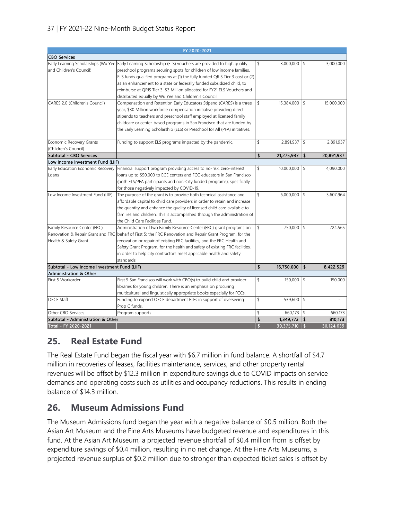#### 37 | FY 2021-22 Nine-Month Budget Status Report

|                                              | FY 2020-2021                                                                                               |                        |            |              |            |
|----------------------------------------------|------------------------------------------------------------------------------------------------------------|------------------------|------------|--------------|------------|
| <b>CBO Services</b>                          |                                                                                                            |                        |            |              |            |
|                                              | Early Learning Scholarships (Wu Yee Early Learning Scholarship (ELS) vouchers are provided to high quality | \$                     | 3,000,000  | \$           | 3,000,000  |
| and Children's Council)                      | preschool programs securing spots for children of low income families.                                     |                        |            |              |            |
|                                              | ELS funds qualified programs at (1) the fully funded QRIS Tier 3 cost or (2)                               |                        |            |              |            |
|                                              | as an enhancement to a state or federally funded subsidized child, to                                      |                        |            |              |            |
|                                              | reimburse at QRIS Tier 3. \$3 Million allocated for FY21 ELS Vouchers and                                  |                        |            |              |            |
|                                              | distributed equally by Wu Yee and Children's Council.                                                      |                        |            |              |            |
| CARES 2.0 (Children's Council)               | Compensation and Retention Early Educators Stipend (CARES) is a three                                      | \$                     | 15,384,000 | \$           | 15,000,000 |
|                                              | year, \$30 Million workforce compensation initiative providing direct                                      |                        |            |              |            |
|                                              | stipends to teachers and preschool staff employed at licensed family                                       |                        |            |              |            |
|                                              | childcare or center-based programs in San Francisco that are funded by                                     |                        |            |              |            |
|                                              | the Early Learning Scholarship (ELS) or Preschool for All (PFA) initiatives.                               |                        |            |              |            |
|                                              |                                                                                                            |                        |            |              |            |
| <b>Economic Recovery Grants</b>              | Funding to support ELS programs impacted by the pandemic.                                                  | \$                     | 2,891,937  | \$           | 2,891,937  |
| (Children's Council)                         |                                                                                                            |                        |            |              |            |
| Subtotal - CBO Services                      |                                                                                                            | \$                     | 21,275,937 | \$           | 20,891,937 |
| Low Income Investment Fund (LIIF)            |                                                                                                            |                        |            |              |            |
| Early Education Economic Recovery            | Financial support program providing access to no-risk, zero-interest                                       | \$                     | 10,000,000 | \$           | 4,090,000  |
| Loans                                        | loans up to \$50,000 to ECE centers and FCC educators in San Francisco                                     |                        |            |              |            |
|                                              | (both ELS/PFA participants and non-City funded programs); specifically                                     |                        |            |              |            |
|                                              | for those negatively impacted by COVID-19.                                                                 |                        |            |              |            |
| Low Income Investment Fund (LIIF)            | The purpose of the grant is to provide both technical assistance and                                       | \$                     | 6,000,000  | \$           | 3,607,964  |
|                                              | affordable capital to child care providers in order to retain and increase                                 |                        |            |              |            |
|                                              | the quantity and enhance the quality of licensed child care available to                                   |                        |            |              |            |
|                                              | families and children. This is accomplished through the administration of                                  |                        |            |              |            |
|                                              | the Child Care Facilities Fund.                                                                            |                        |            |              |            |
| Family Resource Center (FRC)                 | Administration of two Family Resource Center (FRC) grant programs on                                       | \$                     | 750,000    | \$           | 724,565    |
|                                              | Renovation & Repair Grant and FRC behalf of First 5: the FRC Renovation and Repair Grant Program, for the  |                        |            |              |            |
| Health & Safety Grant                        | renovation or repair of existing FRC facilities, and the FRC Health and                                    |                        |            |              |            |
|                                              | Safety Grant Program, for the health and safety of existing FRC facilities,                                |                        |            |              |            |
|                                              | in order to help city contractors meet applicable health and safety                                        |                        |            |              |            |
|                                              | standards.                                                                                                 |                        |            |              |            |
| Subtotal - Low Income Investment Fund (LIIF) |                                                                                                            | \$                     | 16,750,000 | \$           | 8,422,529  |
| <b>Administration &amp; Other</b>            |                                                                                                            |                        |            |              |            |
| First 5 Workorder                            | First 5 San Francisco will work with CBO(s) to build child and provider                                    | \$                     | 150,000    | \$           | 150,000    |
|                                              | libraries for young children. There is an emphasis on procuring                                            |                        |            |              |            |
|                                              | multicultural and linguistically appropriate books especially for FCCs.                                    |                        |            |              |            |
| OECE Staff                                   | Funding to expand OECE department FTEs in support of overseeing                                            | \$                     | 539,600    | \$           |            |
|                                              | Prop C funds.                                                                                              |                        |            |              |            |
| Other CBO Services                           | Program supports                                                                                           | \$                     | 660,173    | \$           | 660,173    |
| Subtotal - Administration & Other            |                                                                                                            | $\boldsymbol{\hat{s}}$ | 1,349,773  | \$           | 810,173    |
| Total - FY 2020-2021                         |                                                                                                            | <b>S</b>               | 39,375,710 | $\mathbf{s}$ | 30,124,639 |

#### **25. Real Estate Fund**

The Real Estate Fund began the fiscal year with \$6.7 million in fund balance. A shortfall of \$4.7 million in recoveries of leases, facilities maintenance, services, and other property rental revenues will be offset by \$12.3 million in expenditure savings due to COVID impacts on service demands and operating costs such as utilities and occupancy reductions. This results in ending balance of \$14.3 million.

#### **26. Museum Admissions Fund**

The Museum Admissions fund began the year with a negative balance of \$0.5 million. Both the Asian Art Museum and the Fine Arts Museums have budgeted revenue and expenditures in this fund. At the Asian Art Museum, a projected revenue shortfall of \$0.4 million from is offset by expenditure savings of \$0.4 million, resulting in no net change. At the Fine Arts Museums, a projected revenue surplus of \$0.2 million due to stronger than expected ticket sales is offset by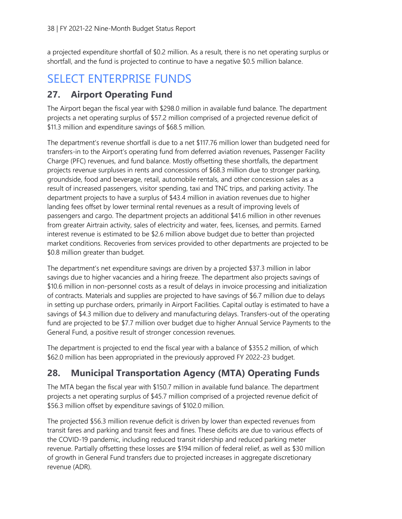a projected expenditure shortfall of \$0.2 million. As a result, there is no net operating surplus or shortfall, and the fund is projected to continue to have a negative \$0.5 million balance.

## SELECT ENTERPRISE FUNDS

#### **27. Airport Operating Fund**

The Airport began the fiscal year with \$298.0 million in available fund balance. The department projects a net operating surplus of \$57.2 million comprised of a projected revenue deficit of \$11.3 million and expenditure savings of \$68.5 million.

The department's revenue shortfall is due to a net \$117.76 million lower than budgeted need for transfers-in to the Airport's operating fund from deferred aviation revenues, Passenger Facility Charge (PFC) revenues, and fund balance. Mostly offsetting these shortfalls, the department projects revenue surpluses in rents and concessions of \$68.3 million due to stronger parking, groundside, food and beverage, retail, automobile rentals, and other concession sales as a result of increased passengers, visitor spending, taxi and TNC trips, and parking activity. The department projects to have a surplus of \$43.4 million in aviation revenues due to higher landing fees offset by lower terminal rental revenues as a result of improving levels of passengers and cargo. The department projects an additional \$41.6 million in other revenues from greater Airtrain activity, sales of electricity and water, fees, licenses, and permits. Earned interest revenue is estimated to be \$2.6 million above budget due to better than projected market conditions. Recoveries from services provided to other departments are projected to be \$0.8 million greater than budget.

The department's net expenditure savings are driven by a projected \$37.3 million in labor savings due to higher vacancies and a hiring freeze. The department also projects savings of \$10.6 million in non-personnel costs as a result of delays in invoice processing and initialization of contracts. Materials and supplies are projected to have savings of \$6.7 million due to delays in setting up purchase orders, primarily in Airport Facilities. Capital outlay is estimated to have a savings of \$4.3 million due to delivery and manufacturing delays. Transfers-out of the operating fund are projected to be \$7.7 million over budget due to higher Annual Service Payments to the General Fund, a positive result of stronger concession revenues.

The department is projected to end the fiscal year with a balance of \$355.2 million, of which \$62.0 million has been appropriated in the previously approved FY 2022-23 budget.

#### **28. Municipal Transportation Agency (MTA) Operating Funds**

The MTA began the fiscal year with \$150.7 million in available fund balance. The department projects a net operating surplus of \$45.7 million comprised of a projected revenue deficit of \$56.3 million offset by expenditure savings of \$102.0 million.

The projected \$56.3 million revenue deficit is driven by lower than expected revenues from transit fares and parking and transit fees and fines. These deficits are due to various effects of the COVID-19 pandemic, including reduced transit ridership and reduced parking meter revenue. Partially offsetting these losses are \$194 million of federal relief, as well as \$30 million of growth in General Fund transfers due to projected increases in aggregate discretionary revenue (ADR).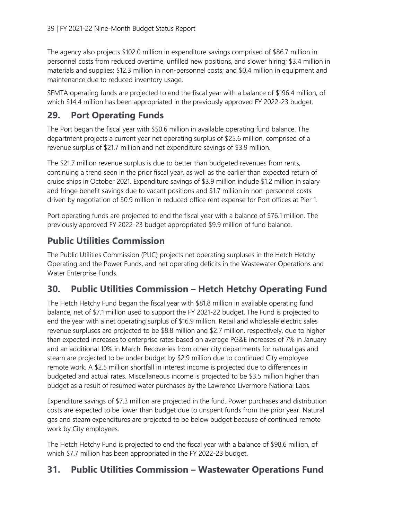The agency also projects \$102.0 million in expenditure savings comprised of \$86.7 million in personnel costs from reduced overtime, unfilled new positions, and slower hiring; \$3.4 million in materials and supplies; \$12.3 million in non-personnel costs; and \$0.4 million in equipment and maintenance due to reduced inventory usage.

SFMTA operating funds are projected to end the fiscal year with a balance of \$196.4 million, of which \$14.4 million has been appropriated in the previously approved FY 2022-23 budget.

#### **29. Port Operating Funds**

The Port began the fiscal year with \$50.6 million in available operating fund balance. The department projects a current year net operating surplus of \$25.6 million, comprised of a revenue surplus of \$21.7 million and net expenditure savings of \$3.9 million.

The \$21.7 million revenue surplus is due to better than budgeted revenues from rents, continuing a trend seen in the prior fiscal year, as well as the earlier than expected return of cruise ships in October 2021. Expenditure savings of \$3.9 million include \$1.2 million in salary and fringe benefit savings due to vacant positions and \$1.7 million in non-personnel costs driven by negotiation of \$0.9 million in reduced office rent expense for Port offices at Pier 1.

Port operating funds are projected to end the fiscal year with a balance of \$76.1 million. The previously approved FY 2022-23 budget appropriated \$9.9 million of fund balance.

#### **Public Utilities Commission**

The Public Utilities Commission (PUC) projects net operating surpluses in the Hetch Hetchy Operating and the Power Funds, and net operating deficits in the Wastewater Operations and Water Enterprise Funds.

#### **30. Public Utilities Commission – Hetch Hetchy Operating Fund**

The Hetch Hetchy Fund began the fiscal year with \$81.8 million in available operating fund balance, net of \$7.1 million used to support the FY 2021-22 budget. The Fund is projected to end the year with a net operating surplus of \$16.9 million. Retail and wholesale electric sales revenue surpluses are projected to be \$8.8 million and \$2.7 million, respectively, due to higher than expected increases to enterprise rates based on average PG&E increases of 7% in January and an additional 10% in March. Recoveries from other city departments for natural gas and steam are projected to be under budget by \$2.9 million due to continued City employee remote work. A \$2.5 million shortfall in interest income is projected due to differences in budgeted and actual rates. Miscellaneous income is projected to be \$3.5 million higher than budget as a result of resumed water purchases by the Lawrence Livermore National Labs.

Expenditure savings of \$7.3 million are projected in the fund. Power purchases and distribution costs are expected to be lower than budget due to unspent funds from the prior year. Natural gas and steam expenditures are projected to be below budget because of continued remote work by City employees.

The Hetch Hetchy Fund is projected to end the fiscal year with a balance of \$98.6 million, of which \$7.7 million has been appropriated in the FY 2022-23 budget.

#### **31. Public Utilities Commission – Wastewater Operations Fund**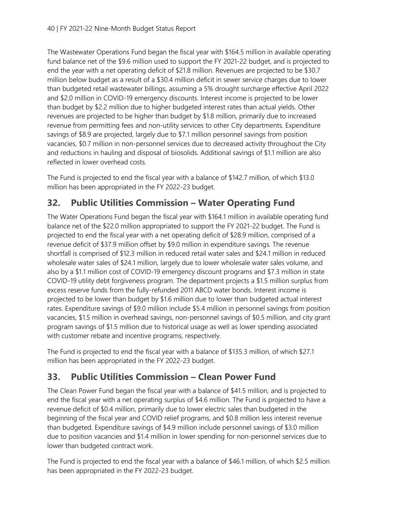The Wastewater Operations Fund began the fiscal year with \$164.5 million in available operating fund balance net of the \$9.6 million used to support the FY 2021-22 budget, and is projected to end the year with a net operating deficit of \$21.8 million. Revenues are projected to be \$30.7 million below budget as a result of a \$30.4 million deficit in sewer service charges due to lower than budgeted retail wastewater billings, assuming a 5% drought surcharge effective April 2022 and \$2.0 million in COVID-19 emergency discounts. Interest income is projected to be lower than budget by \$2.2 million due to higher budgeted interest rates than actual yields. Other revenues are projected to be higher than budget by \$1.8 million, primarily due to increased revenue from permitting fees and non-utility services to other City departments. Expenditure savings of \$8.9 are projected, largely due to \$7.1 million personnel savings from position vacancies, \$0.7 million in non-personnel services due to decreased activity throughout the City and reductions in hauling and disposal of biosolids. Additional savings of \$1.1 million are also reflected in lower overhead costs.

The Fund is projected to end the fiscal year with a balance of \$142.7 million, of which \$13.0 million has been appropriated in the FY 2022-23 budget.

### **32. Public Utilities Commission – Water Operating Fund**

The Water Operations Fund began the fiscal year with \$164.1 million in available operating fund balance net of the \$22.0 million appropriated to support the FY 2021-22 budget. The Fund is projected to end the fiscal year with a net operating deficit of \$28.9 million, comprised of a revenue deficit of \$37.9 million offset by \$9.0 million in expenditure savings. The revenue shortfall is comprised of \$12.3 million in reduced retail water sales and \$24.1 million in reduced wholesale water sales of \$24.1 million, largely due to lower wholesale water sales volume, and also by a \$1.1 million cost of COVID-19 emergency discount programs and \$7.3 million in state COVID-19 utility debt forgiveness program. The department projects a \$1.5 million surplus from excess reserve funds from the fully-refunded 2011 ABCD water bonds. Interest income is projected to be lower than budget by \$1.6 million due to lower than budgeted actual interest rates. Expenditure savings of \$9.0 million include \$5.4 million in personnel savings from position vacancies, \$1.5 million in overhead savings, non-personnel savings of \$0.5 million, and city grant program savings of \$1.5 million due to historical usage as well as lower spending associated with customer rebate and incentive programs, respectively.

The Fund is projected to end the fiscal year with a balance of \$135.3 million, of which \$27.1 million has been appropriated in the FY 2022-23 budget.

### **33. Public Utilities Commission – Clean Power Fund**

The Clean Power Fund began the fiscal year with a balance of \$41.5 million, and is projected to end the fiscal year with a net operating surplus of \$4.6 million. The Fund is projected to have a revenue deficit of \$0.4 million, primarily due to lower electric sales than budgeted in the beginning of the fiscal year and COVID relief programs, and \$0.8 million less interest revenue than budgeted. Expenditure savings of \$4.9 million include personnel savings of \$3.0 million due to position vacancies and \$1.4 million in lower spending for non-personnel services due to lower than budgeted contract work.

The Fund is projected to end the fiscal year with a balance of \$46.1 million, of which \$2.5 million has been appropriated in the FY 2022-23 budget.